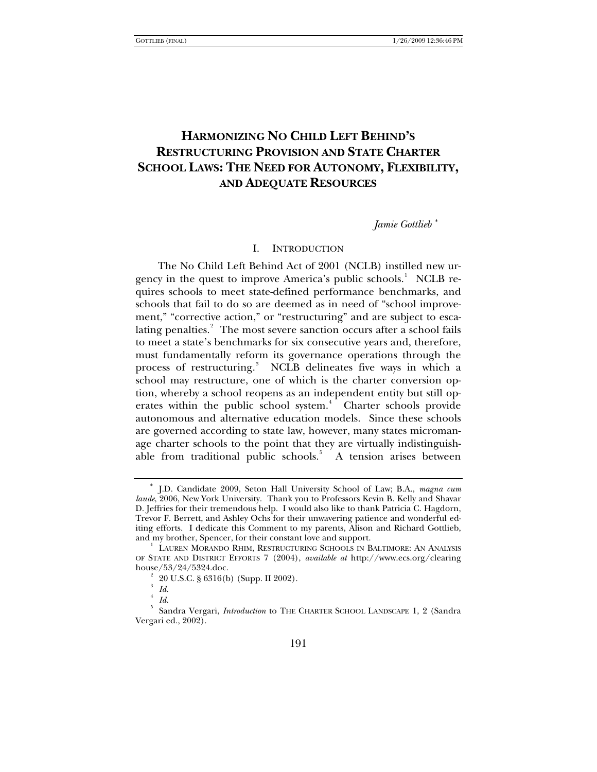# **HARMONIZING NO CHILD LEFT BEHIND'S RESTRUCTURING PROVISION AND STATE CHARTER SCHOOL LAWS: THE NEED FOR AUTONOMY, FLEXIBILITY, AND ADEQUATE RESOURCES**

# *Jamie Gottlieb* [∗](#page-0-0)

#### I. INTRODUCTION

The No Child Left Behind Act of 2001 (NCLB) instilled new ur-gency in the quest to improve America's public schools.<sup>[1](#page-0-1)</sup> NCLB requires schools to meet state-defined performance benchmarks, and schools that fail to do so are deemed as in need of "school improvement," "corrective action," or "restructuring" and are subject to esca-lating penalties.<sup>[2](#page-0-2)</sup> The most severe sanction occurs after a school fails to meet a state's benchmarks for six consecutive years and, therefore, must fundamentally reform its governance operations through the process of restructuring.<sup>[3](#page-0-3)</sup> NCLB delineates five ways in which a school may restructure, one of which is the charter conversion option, whereby a school reopens as an independent entity but still op-erates within the public school system.<sup>[4](#page-0-4)</sup> Charter schools provide autonomous and alternative education models. Since these schools are governed according to state law, however, many states micromanage charter schools to the point that they are virtually indistinguish-able from traditional public schools.<sup>[5](#page-0-5)</sup> A tension arises between

<span id="page-0-0"></span><sup>∗</sup> J.D. Candidate 2009, Seton Hall University School of Law; B.A., *magna cum laude*, 2006, New York University. Thank you to Professors Kevin B. Kelly and Shavar D. Jeffries for their tremendous help. I would also like to thank Patricia C. Hagdorn, Trevor F. Berrett, and Ashley Ochs for their unwavering patience and wonderful editing efforts. I dedicate this Comment to my parents, Alison and Richard Gottlieb, and my brother, Spencer, for their constant love and support. 1

<span id="page-0-1"></span><sup>&</sup>lt;sup>1</sup> LAUREN MORANDO RHIM, RESTRUCTURING SCHOOLS IN BALTIMORE: AN ANALYSIS OF STATE AND DISTRICT EFFORTS 7 (2004), *available at* http://www.ecs.org/clearing house/53/24/5324.doc. 2

 <sup>20</sup> U.S.C. § 6316(b) (Supp. II 2002).

<sup>3</sup>  *Id.*

<sup>4</sup>  *Id.*

<span id="page-0-5"></span><span id="page-0-4"></span><span id="page-0-3"></span><span id="page-0-2"></span><sup>5</sup> Sandra Vergari, *Introduction* to THE CHARTER SCHOOL LANDSCAPE 1, 2 (Sandra Vergari ed., 2002).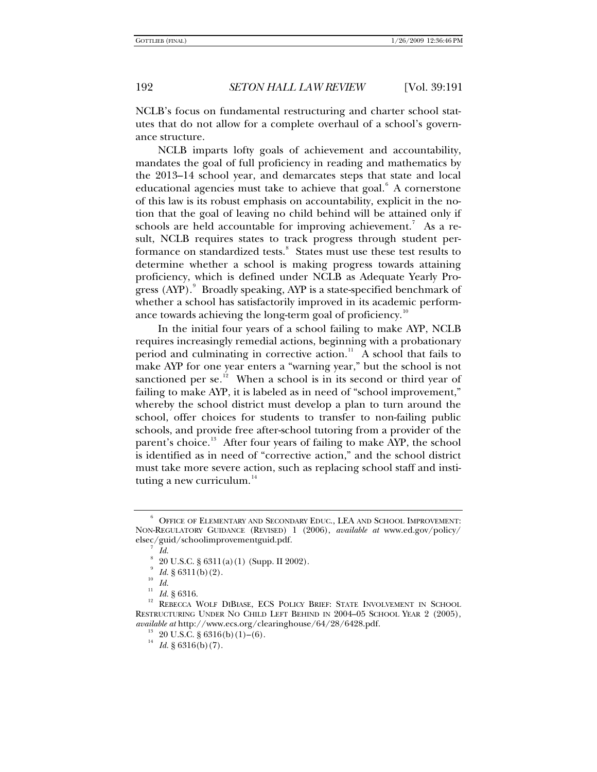NCLB's focus on fundamental restructuring and charter school statutes that do not allow for a complete overhaul of a school's governance structure.

NCLB imparts lofty goals of achievement and accountability, mandates the goal of full proficiency in reading and mathematics by the 2013–14 school year, and demarcates steps that state and local educational agencies must take to achieve that goal. $6$  A cornerstone of this law is its robust emphasis on accountability, explicit in the notion that the goal of leaving no child behind will be attained only if schools are held accountable for improving achievement.<sup>[7](#page-1-1)</sup> As a result, NCLB requires states to track progress through student per-formance on standardized tests.<sup>[8](#page-1-2)</sup> States must use these test results to determine whether a school is making progress towards attaining proficiency, which is defined under NCLB as Adequate Yearly Progress  $\left( \text{AYP}\right)$ . Broadly speaking, AYP is a state-specified benchmark of whether a school has satisfactorily improved in its academic perform-ance towards achieving the long-term goal of proficiency.<sup>[10](#page-1-4)</sup>

In the initial four years of a school failing to make AYP, NCLB requires increasingly remedial actions, beginning with a probationary period and culminating in corrective action.<sup>[11](#page-1-5)</sup> A school that fails to make AYP for one year enters a "warning year," but the school is not sanctioned per se.<sup>[12](#page-1-6)</sup> When a school is in its second or third year of failing to make AYP, it is labeled as in need of "school improvement," whereby the school district must develop a plan to turn around the school, offer choices for students to transfer to non-failing public schools, and provide free after-school tutoring from a provider of the parent's choice.<sup>[13](#page-1-7)</sup> After four years of failing to make AYP, the school is identified as in need of "corrective action," and the school district must take more severe action, such as replacing school staff and instituting a new curriculum. $14$ 

<span id="page-1-1"></span><span id="page-1-0"></span><sup>6</sup> OFFICE OF ELEMENTARY AND SECONDARY EDUC., LEA AND SCHOOL IMPROVEMENT: NON-REGULATORY GUIDANCE (REVISED) 1 (2006), *available at* www.ed.gov/policy/ elsec/guid/schoolimprovementguid.pdf. 7

*Id.*

<sup>8</sup> 20 U.S.C. § 6311(a)(1) (Supp. II 2002).

<sup>9</sup>  $\frac{10}{10}$  *Id.* § 6311(b)(2).

<span id="page-1-8"></span><span id="page-1-7"></span><span id="page-1-6"></span><span id="page-1-5"></span><span id="page-1-4"></span><span id="page-1-3"></span><span id="page-1-2"></span><sup>&</sup>lt;sup>11</sup> *Id.* § 6316.<br><sup>12</sup> REBECCA WOLF DIBIASE, ECS POLICY BRIEF: STATE INVOLVEMENT IN SCHOOL RESTRUCTURING UNDER NO CHILD LEFT BEHIND IN 2004–05 SCHOOL YEAR 2 (2005), *available at* http://www.ecs.org/clearinghouse/64/28/6428.pdf. <sup>13</sup> 20 U.S.C. § 6316(b)(1)–(6).

 $14$  *Id.* § 6316(b)(7).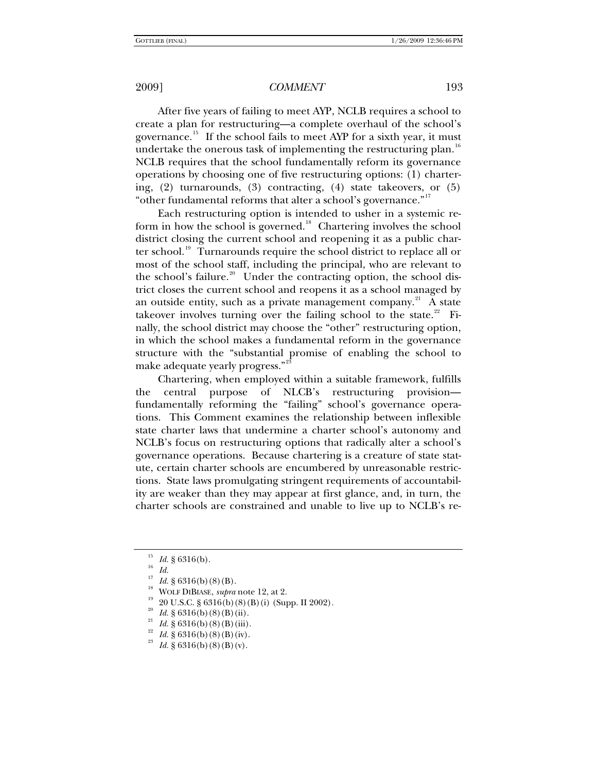After five years of failing to meet AYP, NCLB requires a school to create a plan for restructuring—a complete overhaul of the school's governance.[15](#page-2-0) If the school fails to meet AYP for a sixth year, it must undertake the onerous task of implementing the restructuring plan.<sup>[16](#page-2-1)</sup> NCLB requires that the school fundamentally reform its governance operations by choosing one of five restructuring options: (1) chartering, (2) turnarounds, (3) contracting, (4) state takeovers, or (5) "other fundamental reforms that alter a school's governance."[17](#page-2-2)

Each restructuring option is intended to usher in a systemic re-form in how the school is governed.<sup>[18](#page-2-3)</sup> Chartering involves the school district closing the current school and reopening it as a public char-ter school.<sup>[19](#page-2-4)</sup> Turnarounds require the school district to replace all or most of the school staff, including the principal, who are relevant to the school's failure.<sup>[20](#page-2-5)</sup> Under the contracting option, the school district closes the current school and reopens it as a school managed by an outside entity, such as a private management company. $21$  A state takeover involves turning over the failing school to the state. $22$  Finally, the school district may choose the "other" restructuring option, in which the school makes a fundamental reform in the governance structure with the "substantial promise of enabling the school to make adequate yearly progress."<sup>[23](#page-2-8)</sup>

Chartering, when employed within a suitable framework, fulfills the central purpose of NLCB's restructuring provision fundamentally reforming the "failing" school's governance operations. This Comment examines the relationship between inflexible state charter laws that undermine a charter school's autonomy and NCLB's focus on restructuring options that radically alter a school's governance operations. Because chartering is a creature of state statute, certain charter schools are encumbered by unreasonable restrictions. State laws promulgating stringent requirements of accountability are weaker than they may appear at first glance, and, in turn, the charter schools are constrained and unable to live up to NCLB's re-

<span id="page-2-1"></span><span id="page-2-0"></span><sup>&</sup>lt;sup>15</sup> *Id.* § 6316(b).<br><sup>16</sup> *Id.*<br><sup>17</sup> *L*<sub>1</sub> a concept by

<span id="page-2-4"></span><span id="page-2-3"></span>

<span id="page-2-2"></span><sup>&</sup>lt;sup>17</sup> *Id.* § 6316(b)(8)(B).<br><sup>18</sup> WOLF DIBIASE, *supra* note 12, at 2.<br><sup>19</sup> 20 U.S.C. § 6316(b)(8)(B)(i) (Supp. II 2002).<br><sup>20</sup> *Id.* § 6316(b)(8)(B)(ii).<br><sup>21</sup> *Id.* § 6316(b)(8)(B)(iii).<br><sup>22</sup> *Id.* § 6316(b)(8)(B)(iv).<br><sup>23</sup>

<span id="page-2-5"></span>

<span id="page-2-8"></span><span id="page-2-7"></span><span id="page-2-6"></span>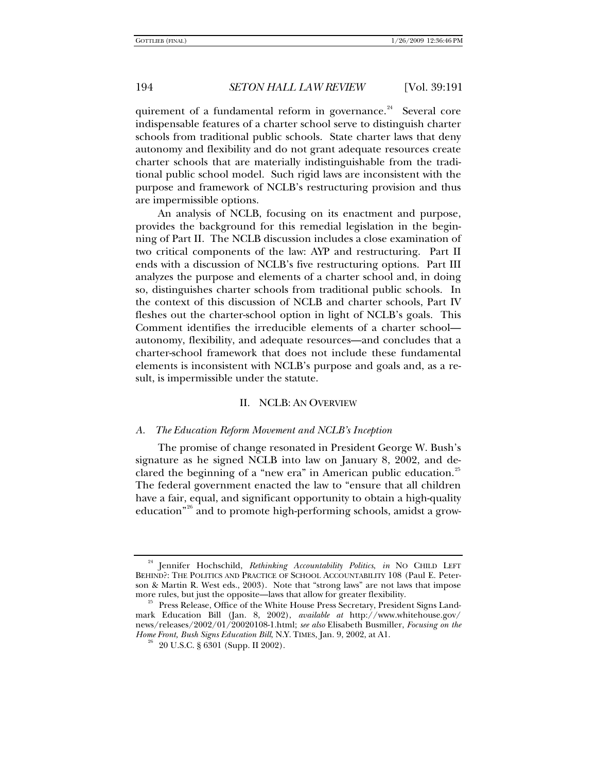quirement of a fundamental reform in governance.<sup>[24](#page-3-0)</sup> Several core indispensable features of a charter school serve to distinguish charter schools from traditional public schools. State charter laws that deny autonomy and flexibility and do not grant adequate resources create charter schools that are materially indistinguishable from the traditional public school model. Such rigid laws are inconsistent with the purpose and framework of NCLB's restructuring provision and thus are impermissible options.

An analysis of NCLB, focusing on its enactment and purpose, provides the background for this remedial legislation in the beginning of Part II. The NCLB discussion includes a close examination of two critical components of the law: AYP and restructuring. Part II ends with a discussion of NCLB's five restructuring options. Part III analyzes the purpose and elements of a charter school and, in doing so, distinguishes charter schools from traditional public schools. In the context of this discussion of NCLB and charter schools, Part IV fleshes out the charter-school option in light of NCLB's goals. This Comment identifies the irreducible elements of a charter school autonomy, flexibility, and adequate resources—and concludes that a charter-school framework that does not include these fundamental elements is inconsistent with NCLB's purpose and goals and, as a result, is impermissible under the statute.

#### II. NCLB: AN OVERVIEW

#### *A. The Education Reform Movement and NCLB's Inception*

The promise of change resonated in President George W. Bush's signature as he signed NCLB into law on January 8, 2002, and de-clared the beginning of a "new era" in American public education.<sup>[25](#page-3-1)</sup> The federal government enacted the law to "ensure that all children have a fair, equal, and significant opportunity to obtain a high-quality education"<sup>[26](#page-3-2)</sup> and to promote high-performing schools, amidst a grow-

<span id="page-3-0"></span><sup>24</sup> Jennifer Hochschild, *Rethinking Accountability Politics*, *in* NO CHILD LEFT BEHIND?: THE POLITICS AND PRACTICE OF SCHOOL ACCOUNTABILITY 108 (Paul E. Peterson & Martin R. West eds., 2003). Note that "strong laws" are not laws that impose more rules, but just the opposite—laws that allow for greater flexibility.

<span id="page-3-2"></span><span id="page-3-1"></span> $^{25}$  Press Release, Office of the White House Press Secretary, President Signs Landmark Education Bill (Jan. 8, 2002), *available at* http://www.whitehouse.gov/ news/releases/2002/01/20020108-1.html; *see also* Elisabeth Busmiller, *Focusing on the Home Front, Bush Signs Education Bill, N.Y. TIMES, Jan. 9, 2002, at A1.* <sup>26</sup> 20 U.S.C. § 6301 (Supp. II 2002).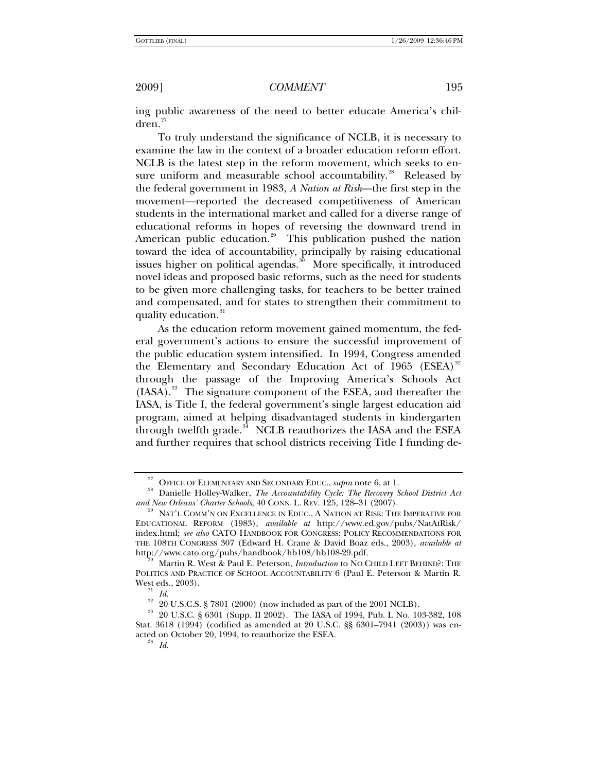ing public awareness of the need to better educate America's chil- $dren.<sup>27</sup>$  $dren.<sup>27</sup>$  $dren.<sup>27</sup>$ 

To truly understand the significance of NCLB, it is necessary to examine the law in the context of a broader education reform effort. NCLB is the latest step in the reform movement, which seeks to en-sure uniform and measurable school accountability.<sup>[28](#page-4-1)</sup> Released by the federal government in 1983, *A Nation at Risk*—the first step in the movement—reported the decreased competitiveness of American students in the international market and called for a diverse range of educational reforms in hopes of reversing the downward trend in American public education.<sup>[29](#page-4-2)</sup> This publication pushed the nation toward the idea of accountability, principally by raising educational issues higher on political agendas.<sup>[30](#page-4-3)</sup> More specifically, it introduced novel ideas and proposed basic reforms, such as the need for students to be given more challenging tasks, for teachers to be better trained and compensated, and for states to strengthen their commitment to quality education.<sup>[31](#page-4-4)</sup>

As the education reform movement gained momentum, the federal government's actions to ensure the successful improvement of the public education system intensified. In 1994, Congress amended the Elementary and Secondary Education Act of 1965 (ESEA) $^{32}$  $^{32}$  $^{32}$ through the passage of the Improving America's Schools Act (IASA).<sup>[33](#page-4-6)</sup> The signature component of the ESEA, and thereafter the IASA, is Title I, the federal government's single largest education aid program, aimed at helping disadvantaged students in kindergarten through twelfth grade. $34$  NCLB reauthorizes the IASA and the ESEA and further requires that school districts receiving Title I funding de-

<span id="page-4-1"></span><span id="page-4-0"></span><sup>&</sup>lt;sup>27</sup> OFFICE OF ELEMENTARY AND SECONDARY EDUC., *supra* note 6, at 1.<br><sup>28</sup> Danielle Holley-Walker, *The Accountability Cycle: The Recovery School District Act and New Orleans' Charter Schools, 40 CONN. L. REV. 125, 128–31 (* 

<span id="page-4-2"></span>NAT'L COMM'N ON EXCELLENCE IN EDUC., A NATION AT RISK: THE IMPERATIVE FOR EDUCATIONAL REFORM (1983), *available at* http://www.ed.gov/pubs/NatAtRisk/ index.html; *see also* CATO HANDBOOK FOR CONGRESS: POLICY RECOMMENDATIONS FOR THE 108TH CONGRESS 307 (Edward H. Crane & David Boaz eds., 2003), *available at* 

<span id="page-4-3"></span>http://www.cato.org/pubs/handbook/heartin R. West & Paul E. Peterson, *Introduction* to NO CHILD LEFT BEHIND?: THE POLITICS AND PRACTICE OF SCHOOL ACCOUNTABILITY 6 (Paul E. Peterson & Martin R. West eds., 2003).<br><sup>31</sup> *Id.* 

 $\frac{32}{20}$  20 U.S.C.S. § 7801 (2000) (now included as part of the 2001 NCLB).

<span id="page-4-7"></span><span id="page-4-6"></span><span id="page-4-5"></span><span id="page-4-4"></span><sup>33 20</sup> U.S.C. § 6301 (Supp. II 2002). The IASA of 1994, Pub. L No. 103-382, 108 Stat. 3618 (1994) (codified as amended at 20 U.S.C. §§ 6301–7941 (2003)) was enacted on October 20, 1994, to reauthorize the ESEA. 34 *Id.*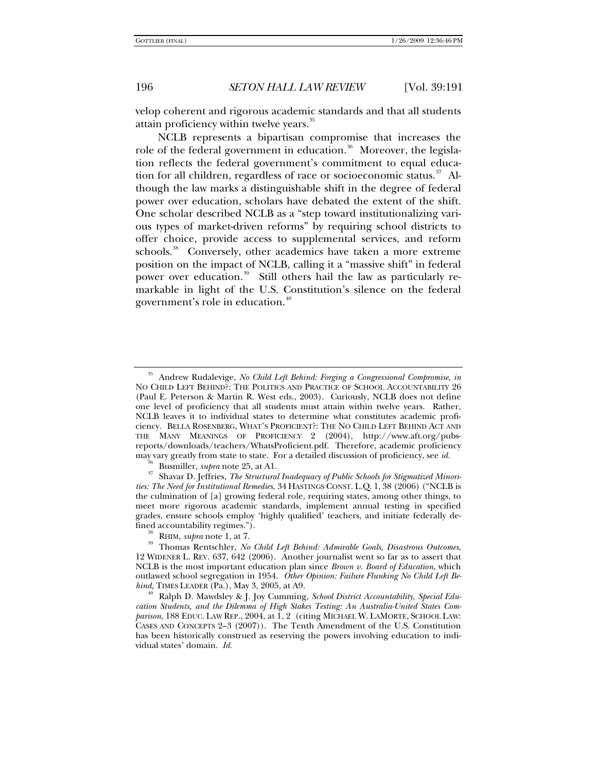velop coherent and rigorous academic standards and that all students attain proficiency within twelve years.<sup>[35](#page-5-0)</sup>

NCLB represents a bipartisan compromise that increases the role of the federal government in education.<sup>[36](#page-5-1)</sup> Moreover, the legislation reflects the federal government's commitment to equal education for all children, regardless of race or socioeconomic status. $37$  Although the law marks a distinguishable shift in the degree of federal power over education, scholars have debated the extent of the shift. One scholar described NCLB as a "step toward institutionalizing various types of market-driven reforms" by requiring school districts to offer choice, provide access to supplemental services, and reform schools.<sup>[38](#page-5-3)</sup> Conversely, other academics have taken a more extreme position on the impact of NCLB, calling it a "massive shift" in federal power over education.<sup>[39](#page-5-4)</sup> Still others hail the law as particularly remarkable in light of the U.S. Constitution's silence on the federal government's role in education.<sup>[40](#page-5-5)</sup>

<span id="page-5-0"></span><sup>35</sup> Andrew Rudalevige, *No Child Left Behind: Forging a Congressional Compromise*, *in*  NO CHILD LEFT BEHIND?: THE POLITICS AND PRACTICE OF SCHOOL ACCOUNTABILITY 26 (Paul E. Peterson & Martin R. West eds., 2003). Curiously, NCLB does not define one level of proficiency that all students must attain within twelve years. Rather, NCLB leaves it to individual states to determine what constitutes academic proficiency. BELLA ROSENBERG, WHAT'S PROFICIENT?: THE NO CHILD LEFT BEHIND ACT AND THE MANY MEANINGS OF PROFICIENCY 2 (2004), http://www.aft.org/pubsreports/downloads/teachers/WhatsProficient.pdf. Therefore, academic proficiency<br>may vary greatly from state to state. For a detailed discussion of proficiency, see id.

<span id="page-5-2"></span><span id="page-5-1"></span><sup>&</sup>lt;sup>36</sup> Busmiller, *supra* note 25, at A1.<br><sup>37</sup> Shavar D. Jeffries, *The Structural Inadequacy of Public Schools for Stigmatized Minorities: The Need for Institutional Remedies*, 34 HASTINGS CONST. L.Q. 1, 38 (2006) ("NCLB is the culmination of [a] growing federal role, requiring states, among other things, to meet more rigorous academic standards, implement annual testing in specified grades, ensure schools employ 'highly qualified' teachers, and initiate federally de-

<span id="page-5-4"></span><span id="page-5-3"></span>fined accountability regimes.").<br><sup>38</sup> RHIM, *supra* note 1, at 7.<br><sup>39</sup> Thomas Rentschler, *No Child Left Behind: Admirable Goals, Disastrous Outcomes*, 12 WIDENER L. REV. 637, 642 (2006). Another journalist went so far as to assert that NCLB is the most important education plan since *Brown v. Board of Education*, which outlawed school segregation in 1954. *Other Opinion: Failure Flunking No Child Left Be*hind, TIMES LEADER (Pa.), May 3, 2005, at A9.<br><sup>40</sup> Ralph D. Mawdsley & J. Joy Cumming, *School District Accountability, Special Edu-*

<span id="page-5-5"></span>*cation Students, and the Dilemma of High Stakes Testing: An Australia-United States Comparison*, 188 EDUC. LAW REP., 2004, at 1, 2 (citing MICHAEL W. LAMORTE, SCHOOL LAW: CASES AND CONCEPTS 2–3 (2007)). The Tenth Amendment of the U.S. Constitution has been historically construed as reserving the powers involving education to individual states' domain. *Id.*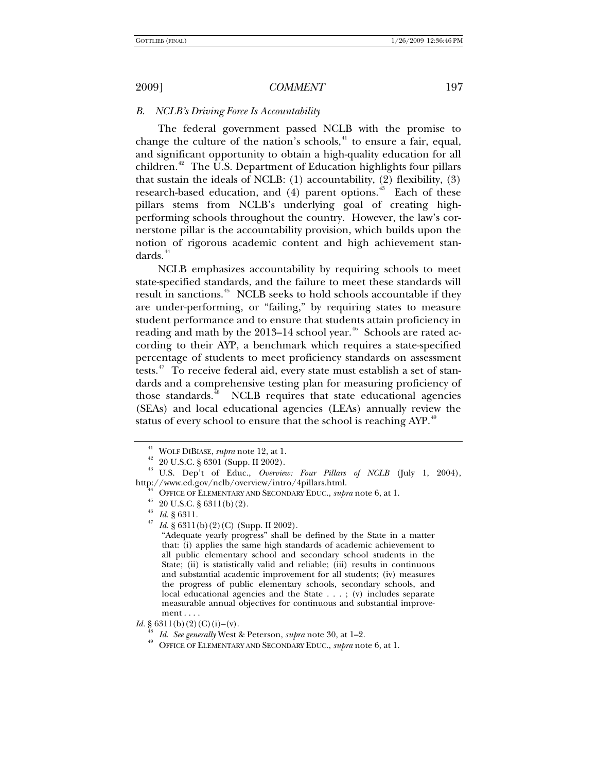### *B. NCLB's Driving Force Is Accountability*

The federal government passed NCLB with the promise to change the culture of the nation's schools, $41$  to ensure a fair, equal, and significant opportunity to obtain a high-quality education for all children.<sup>[42](#page-6-1)</sup> The U.S. Department of Education highlights four pillars that sustain the ideals of NCLB: (1) accountability, (2) flexibility, (3) research-based education, and  $(4)$  parent options.<sup>[43](#page-6-2)</sup> Each of these pillars stems from NCLB's underlying goal of creating highperforming schools throughout the country. However, the law's cornerstone pillar is the accountability provision, which builds upon the notion of rigorous academic content and high achievement standards. $44$ 

NCLB emphasizes accountability by requiring schools to meet state-specified standards, and the failure to meet these standards will result in sanctions.<sup>[45](#page-6-4)</sup> NCLB seeks to hold schools accountable if they are under-performing, or "failing," by requiring states to measure student performance and to ensure that students attain proficiency in reading and math by the  $2013-14$  school year.<sup>[46](#page-6-5)</sup> Schools are rated according to their AYP, a benchmark which requires a state-specified percentage of students to meet proficiency standards on assessment tests. $47$  To receive federal aid, every state must establish a set of standards and a comprehensive testing plan for measuring proficiency of those standards.<sup>[48](#page-6-7)</sup> NCLB requires that state educational agencies (SEAs) and local educational agencies (LEAs) annually review the status of every school to ensure that the school is reaching AYP.<sup>[49](#page-6-8)</sup>

<span id="page-6-8"></span><span id="page-6-7"></span>*Id.* § 6311(b)(2)(C)(i)–(v).

<sup>41</sup> WOLF DIBIASE, *supra* note 12, at 1. 42 20 U.S.C. § 6301 (Supp. II 2002).

<span id="page-6-6"></span><span id="page-6-5"></span><span id="page-6-4"></span><span id="page-6-3"></span><span id="page-6-2"></span><span id="page-6-1"></span><span id="page-6-0"></span><sup>43</sup> U.S. Dep't of Educ., *Overview: Four Pillars of NCLB* (July 1, 2004), http://www.ed.gov/nclb/overview/intro/4pillars.html.<br><sup>44</sup> OFFICE OF ELEMENTARY AND SECONDARY EDUC., *supra* note 6, at 1.<br><sup>45</sup> 20 U.S.C. § 6311(b)(2).<br>*Id.* § 6311.

<sup>&</sup>lt;sup>47</sup> *Id.* § 6311(b)(2)(C) (Supp. II 2002).

<sup>&</sup>quot;Adequate yearly progress" shall be defined by the State in a matter that: (i) applies the same high standards of academic achievement to all public elementary school and secondary school students in the State; (ii) is statistically valid and reliable; (iii) results in continuous and substantial academic improvement for all students; (iv) measures the progress of public elementary schools, secondary schools, and local educational agencies and the State . . . ; (v) includes separate measurable annual objectives for continuous and substantial improvement . . . .

<sup>&</sup>lt;sup>48</sup> Id. See generally West & Peterson, *supra* note 30, at 1–2.<br><sup>49</sup> OFFICE OF ELEMENTARY AND SECONDARY EDUC., *supra* note 6, at 1.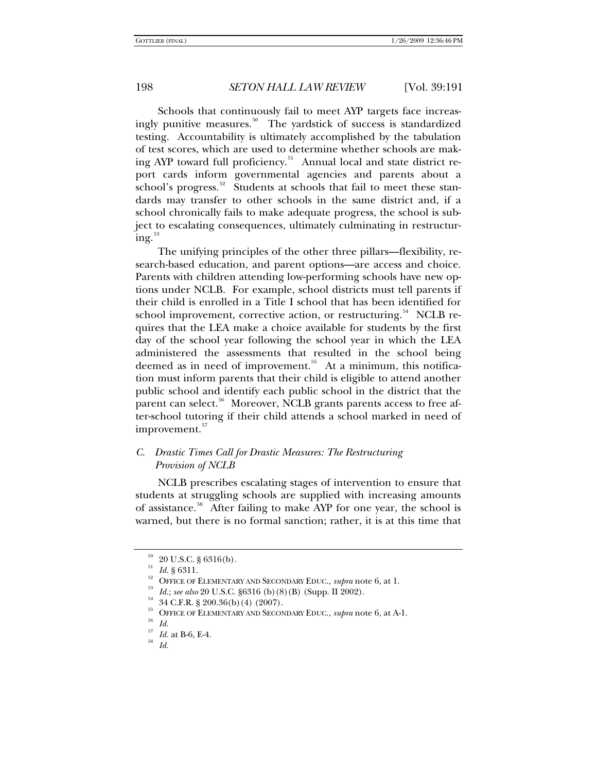Schools that continuously fail to meet AYP targets face increas-ingly punitive measures.<sup>[50](#page-7-0)</sup> The yardstick of success is standardized testing. Accountability is ultimately accomplished by the tabulation of test scores, which are used to determine whether schools are mak-ing AYP toward full proficiency.<sup>[51](#page-7-1)</sup> Annual local and state district report cards inform governmental agencies and parents about a school's progress.<sup>[52](#page-7-2)</sup> Students at schools that fail to meet these standards may transfer to other schools in the same district and, if a school chronically fails to make adequate progress, the school is subject to escalating consequences, ultimately culminating in restructur- $ing.<sup>53</sup>$  $ing.<sup>53</sup>$  $ing.<sup>53</sup>$ 

The unifying principles of the other three pillars—flexibility, research-based education, and parent options—are access and choice. Parents with children attending low-performing schools have new options under NCLB. For example, school districts must tell parents if their child is enrolled in a Title I school that has been identified for school improvement, corrective action, or restructuring. $54$  NCLB requires that the LEA make a choice available for students by the first day of the school year following the school year in which the LEA administered the assessments that resulted in the school being deemed as in need of improvement.<sup>[55](#page-7-5)</sup> At a minimum, this notification must inform parents that their child is eligible to attend another public school and identify each public school in the district that the parent can select.<sup>[56](#page-7-6)</sup> Moreover, NCLB grants parents access to free after-school tutoring if their child attends a school marked in need of improvement.<sup>[57](#page-7-7)</sup>

# *C. Drastic Times Call for Drastic Measures: The Restructuring Provision of NCLB*

NCLB prescribes escalating stages of intervention to ensure that students at struggling schools are supplied with increasing amounts of assistance.<sup>[58](#page-7-8)</sup> After failing to make AYP for one year, the school is warned, but there is no formal sanction; rather, it is at this time that

 $^{50}_{51}$  20 U.S.C. § 6316(b).<br> $^{51}$  *Id.* § 6311.

<span id="page-7-3"></span><span id="page-7-2"></span><span id="page-7-1"></span><span id="page-7-0"></span><sup>&</sup>lt;sup>52</sup> OFFICE OF ELEMENTARY AND SECONDARY EDUC., *supra* note 6, at 1.<br><sup>53</sup> Id.; *see also* 20 U.S.C. §6316 (b)(8)(B) (Supp. II 2002).<br><sup>54</sup> 34 C.F.R. § 200.36(b)(4) (2007).

<span id="page-7-4"></span>

<span id="page-7-5"></span><sup>&</sup>lt;sup>55</sup> OFFICE OF ELEMENTARY AND SECONDARY EDUC., *supra* note 6, at A-1.<br><sup>56</sup> Id.

<span id="page-7-7"></span><span id="page-7-6"></span>

<span id="page-7-8"></span><sup>57</sup> *Id.* at B-6, E-4. 58 *Id.*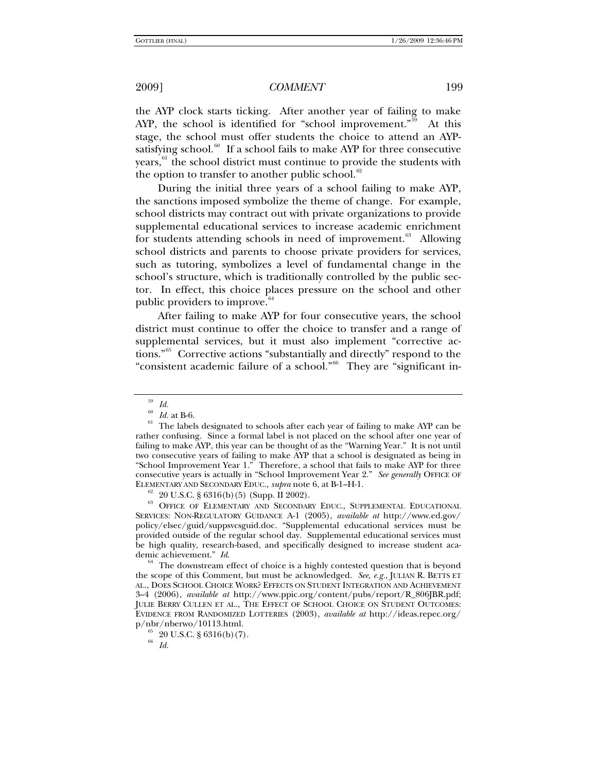the AYP clock starts ticking. After another year of failing to make AYP, the school is identified for "school improvement."<sup>[59](#page-8-0)</sup> At this stage, the school must offer students the choice to attend an AYP-satisfying school.<sup>[60](#page-8-1)</sup> If a school fails to make AYP for three consecutive years,<sup>[61](#page-8-2)</sup> the school district must continue to provide the students with the option to transfer to another public school. $62$ 

During the initial three years of a school failing to make AYP, the sanctions imposed symbolize the theme of change. For example, school districts may contract out with private organizations to provide supplemental educational services to increase academic enrichment for students attending schools in need of improvement. $63$  Allowing school districts and parents to choose private providers for services, such as tutoring, symbolizes a level of fundamental change in the school's structure, which is traditionally controlled by the public sector. In effect, this choice places pressure on the school and other public providers to improve.<sup>[64](#page-8-5)</sup>

After failing to make AYP for four consecutive years, the school district must continue to offer the choice to transfer and a range of supplemental services, but it must also implement "corrective actions."[65](#page-8-6) Corrective actions "substantially and directly" respond to the "consistent academic failure of a school."[66](#page-8-7) They are "significant in-

<span id="page-8-4"></span><span id="page-8-3"></span><sup>63</sup> OFFICE OF ELEMENTARY AND SECONDARY EDUC., SUPPLEMENTAL EDUCATIONAL SERVICES: NON-REGULATORY GUIDANCE A-1 (2005), *available at* http://www.ed.gov/ policy/elsec/guid/suppsvcsguid.doc. "Supplemental educational services must be provided outside of the regular school day. Supplemental educational services must be high quality, research-based, and specifically designed to increase student aca-

<span id="page-8-5"></span>demic achievement." *Id.* 64 The downstream effect of choice is a highly contested question that is beyond the scope of this Comment, but must be acknowledged. *See, e.g.*, JULIAN R. BETTS ET AL., DOES SCHOOL CHOICE WORK? EFFECTS ON STUDENT INTEGRATION AND ACHIEVEMENT 3–4 (2006), *available at* http://www.ppic.org/content/pubs/report/R\_806JBR.pdf; JULIE BERRY CULLEN ET AL., THE EFFECT OF SCHOOL CHOICE ON STUDENT OUTCOMES: EVIDENCE FROM RANDOMIZED LOTTERIES (2003), *available at* http://ideas.repec.org/  $p/nbr/nberwo/10113.html.  
\n<sup>65</sup> 20 U.S.C. § 6316(b)(7).  
\n<sup>66</sup> 74$ 

 $\int_{60}^{59}$  *Id.* 

<span id="page-8-2"></span><span id="page-8-1"></span><span id="page-8-0"></span><sup>&</sup>lt;sup>60</sup> *Id.* at B-6.<br><sup>61</sup> The labels designated to schools after each year of failing to make AYP can be rather confusing. Since a formal label is not placed on the school after one year of failing to make AYP, this year can be thought of as the "Warning Year." It is not until two consecutive years of failing to make AYP that a school is designated as being in "School Improvement Year 1." Therefore, a school that fails to make AYP for three consecutive years is actually in "School Improvement Year 2." *See generally* OFFICE OF ELEMENTARY AND SECONDARY EDUC., *supra* note 6, at B-1–H-1. 62 20 U.S.C. § 6316(b)(5) (Supp. II 2002).

<span id="page-8-7"></span><span id="page-8-6"></span>

<sup>66</sup> *Id.*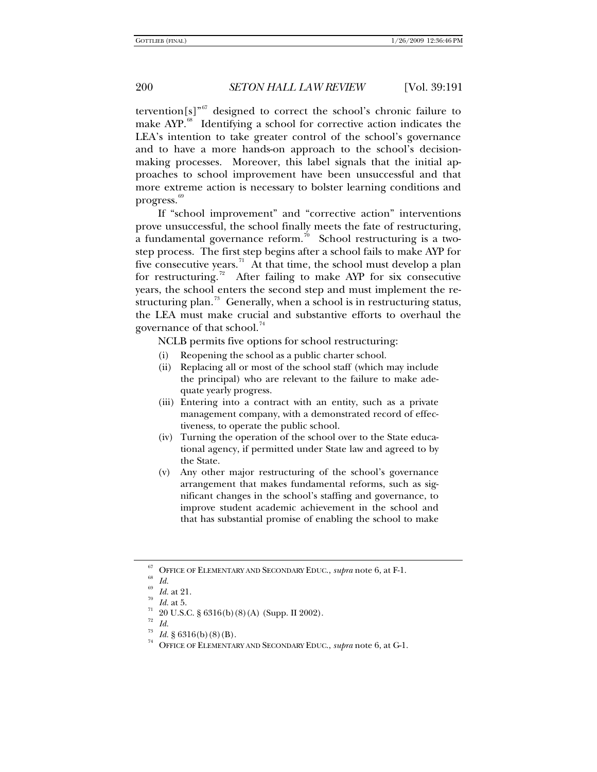tervention $[s]^{67}$  $[s]^{67}$  $[s]^{67}$  designed to correct the school's chronic failure to make AYP.<sup>[68](#page-9-1)</sup> Identifying a school for corrective action indicates the LEA's intention to take greater control of the school's governance and to have a more hands-on approach to the school's decisionmaking processes. Moreover, this label signals that the initial approaches to school improvement have been unsuccessful and that more extreme action is necessary to bolster learning conditions and progress. $69$ 

If "school improvement" and "corrective action" interventions prove unsuccessful, the school finally meets the fate of restructuring, a fundamental governance reform.<sup>[70](#page-9-3)</sup> School restructuring is a twostep process. The first step begins after a school fails to make AYP for five consecutive years.<sup>[71](#page-9-4)</sup> At that time, the school must develop a plan for restructuring.<sup>[72](#page-9-5)</sup> After failing to make AYP for six consecutive years, the school enters the second step and must implement the re-structuring plan.<sup>[73](#page-9-6)</sup> Generally, when a school is in restructuring status, the LEA must make crucial and substantive efforts to overhaul the governance of that school.<sup>[74](#page-9-7)</sup>

NCLB permits five options for school restructuring:

- (i) Reopening the school as a public charter school.
- (ii) Replacing all or most of the school staff (which may include the principal) who are relevant to the failure to make adequate yearly progress.
- (iii) Entering into a contract with an entity, such as a private management company, with a demonstrated record of effectiveness, to operate the public school.
- (iv) Turning the operation of the school over to the State educational agency, if permitted under State law and agreed to by the State.
- (v) Any other major restructuring of the school's governance arrangement that makes fundamental reforms, such as significant changes in the school's staffing and governance, to improve student academic achievement in the school and that has substantial promise of enabling the school to make

<span id="page-9-5"></span><span id="page-9-4"></span><sup>72</sup> *Id.*

<span id="page-9-1"></span><span id="page-9-0"></span><sup>&</sup>lt;sup>67</sup> OFFICE OF ELEMENTARY AND SECONDARY EDUC., *supra* note 6, at F-1.<br><sup>68</sup> Id.

<span id="page-9-3"></span><span id="page-9-2"></span><sup>&</sup>lt;sup>69</sup> *Id.* at 21.<br><sup>70</sup> *Id.* at 5.<br><sup>71</sup> 20 U.S.C. § 6316(b)(8)(A) (Supp. II 2002).

<span id="page-9-7"></span><span id="page-9-6"></span><sup>73</sup> *Id.* § 6316(b)(8)(B). 74 OFFICE OF ELEMENTARY AND SECONDARY EDUC., *supra* note 6, at G-1.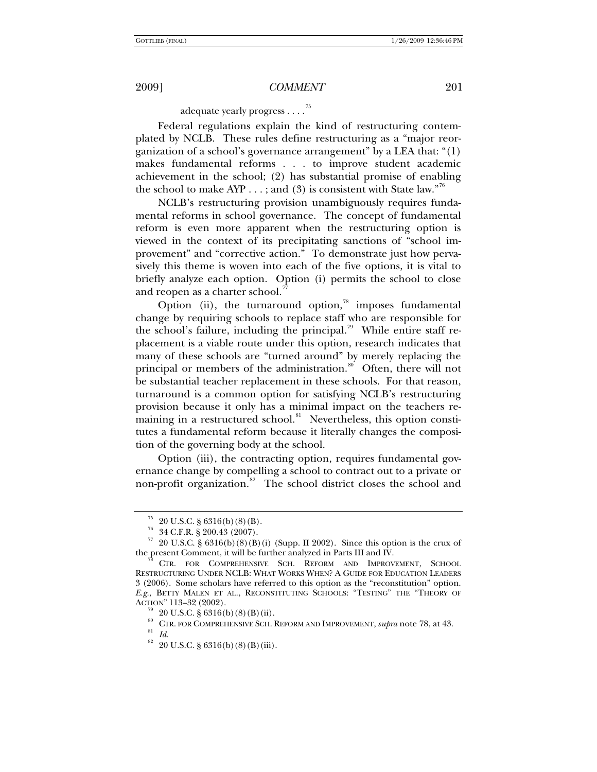adequate yearly progress . . . .[75](#page-10-0)

Federal regulations explain the kind of restructuring contemplated by NCLB. These rules define restructuring as a "major reorganization of a school's governance arrangement" by a LEA that: "(1) makes fundamental reforms . . . to improve student academic achievement in the school; (2) has substantial promise of enabling the school to make AYP  $\dots$ ; and (3) is consistent with State law."<sup>6</sup>

NCLB's restructuring provision unambiguously requires fundamental reforms in school governance. The concept of fundamental reform is even more apparent when the restructuring option is viewed in the context of its precipitating sanctions of "school improvement" and "corrective action." To demonstrate just how pervasively this theme is woven into each of the five options, it is vital to briefly analyze each option. Option (i) permits the school to close and reopen as a charter school. $\pi$ 

Option (ii), the turnaround option, $\frac{78}{10}$  $\frac{78}{10}$  $\frac{78}{10}$  imposes fundamental change by requiring schools to replace staff who are responsible for the school's failure, including the principal.<sup>[79](#page-10-4)</sup> While entire staff replacement is a viable route under this option, research indicates that many of these schools are "turned around" by merely replacing the principal or members of the administration.<sup>[80](#page-10-5)</sup> Often, there will not be substantial teacher replacement in these schools. For that reason, turnaround is a common option for satisfying NCLB's restructuring provision because it only has a minimal impact on the teachers re-maining in a restructured school.<sup>[81](#page-10-6)</sup> Nevertheless, this option constitutes a fundamental reform because it literally changes the composition of the governing body at the school.

Option (iii), the contracting option, requires fundamental governance change by compelling a school to contract out to a private or non-profit organization.<sup>[82](#page-10-7)</sup> The school district closes the school and

 $75\;$  20 U.S.C. § 6316(b)(8)(B).

 $^{76}$  34 C.F.R. § 200.43 (2007).

<span id="page-10-2"></span><span id="page-10-1"></span><span id="page-10-0"></span><sup>&</sup>lt;sup>77</sup> 20 U.S.C. § 6316(b)(8)(B)(i) (Supp. II 2002). Since this option is the crux of the present Comment, it will be further analyzed in Parts III and IV.

<span id="page-10-4"></span><span id="page-10-3"></span>CTR. FOR COMPREHENSIVE SCH. REFORM AND IMPROVEMENT, SCHOOL RESTRUCTURING UNDER NCLB: WHAT WORKS WHEN? A GUIDE FOR EDUCATION LEADERS 3 (2006). Some scholars have referred to this option as the "reconstitution" option. *E.g.*, BETTY MALEN ET AL., RECONSTITUTING SCHOOLS: "TESTING" THE "THEORY OF ACTION" 113-32 (2002).

 $20 \text{ U.S.C. }$ § 6316(b)(8)(B)(ii).

<span id="page-10-6"></span><span id="page-10-5"></span><sup>80</sup> CTR. FOR COMPREHENSIVE SCH. REFORM AND IMPROVEMENT, *supra* note 78, at 43.

<span id="page-10-7"></span> $82$  20 U.S.C. § 6316(b)(8)(B)(iii).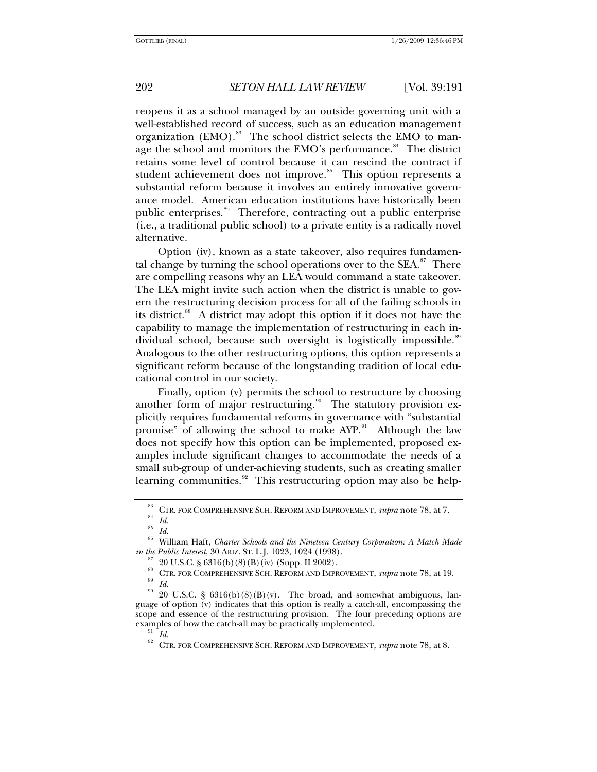reopens it as a school managed by an outside governing unit with a well-established record of success, such as an education management organization (EMO).<sup>[83](#page-11-0)</sup> The school district selects the EMO to man-age the school and monitors the EMO's performance.<sup>[84](#page-11-1)</sup> The district retains some level of control because it can rescind the contract if student achievement does not improve.<sup>[85](#page-11-2)</sup> This option represents a substantial reform because it involves an entirely innovative governance model. American education institutions have historically been public enterprises.<sup>[86](#page-11-3)</sup> Therefore, contracting out a public enterprise (i.e., a traditional public school) to a private entity is a radically novel alternative.

Option (iv), known as a state takeover, also requires fundamental change by turning the school operations over to the  $SEA$ .<sup>[87](#page-11-4)</sup> There are compelling reasons why an LEA would command a state takeover. The LEA might invite such action when the district is unable to govern the restructuring decision process for all of the failing schools in its district.<sup>[88](#page-11-5)</sup> A district may adopt this option if it does not have the capability to manage the implementation of restructuring in each in-dividual school, because such oversight is logistically impossible.<sup>[89](#page-11-6)</sup> Analogous to the other restructuring options, this option represents a significant reform because of the longstanding tradition of local educational control in our society.

Finally, option (v) permits the school to restructure by choosing another form of major restructuring.<sup>[90](#page-11-7)</sup> The statutory provision explicitly requires fundamental reforms in governance with "substantial promise" of allowing the school to make AYP.<sup>[91](#page-11-8)</sup> Although the law does not specify how this option can be implemented, proposed examples include significant changes to accommodate the needs of a small sub-group of under-achieving students, such as creating smaller learning communities. $92$  This restructuring option may also be help-

<sup>85</sup> *Id.*

<sup>&</sup>lt;sup>83</sup> CTR. FOR COMPREHENSIVE SCH. REFORM AND IMPROVEMENT, *supra* note 78, at 7.<br><sup>85</sup> *Id.* 

<span id="page-11-4"></span><span id="page-11-3"></span><span id="page-11-2"></span><span id="page-11-1"></span><span id="page-11-0"></span><sup>86</sup> William Haft, *Charter Schools and the Nineteen Century Corporation: A Match Made in the Public Interest*, 30 ARIZ. ST. L.J. 1023, 1024 (1998).<br><sup>87</sup> 20 U.S.C. § 6316(b)(8)(B)(iv) (Supp. II 2002).

<sup>88</sup> CTR. FOR COMPREHENSIVE SCH. REFORM AND IMPROVEMENT, *supra* note 78, at 19. 89 *Id.*

<span id="page-11-9"></span><span id="page-11-8"></span><span id="page-11-7"></span><span id="page-11-6"></span><span id="page-11-5"></span><sup>20</sup> U.S.C. §  $6316(b)(8)(B)(v)$ . The broad, and somewhat ambiguous, language of option (v) indicates that this option is really a catch-all, encompassing the scope and essence of the restructuring provision. The four preceding options are examples of how the catch-all may be practically implemented.<br><sup>91</sup> *Id.*<br><sup>92</sup> CER FOR COMPRIMENT SOLUTIONALLY LIBROUGHTMENT

<sup>92</sup> CTR. FOR COMPREHENSIVE SCH. REFORM AND IMPROVEMENT, *supra* note 78, at 8.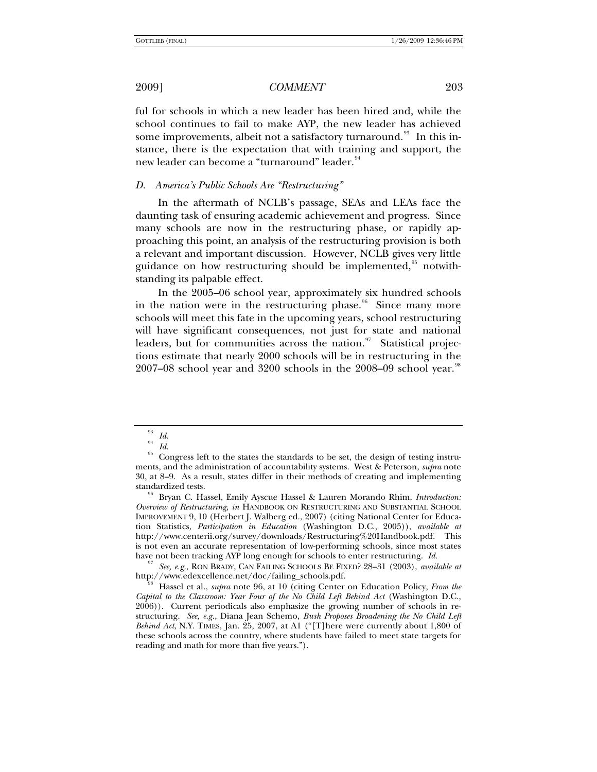ful for schools in which a new leader has been hired and, while the school continues to fail to make AYP, the new leader has achieved some improvements, albeit not a satisfactory turnaround.<sup>[93](#page-12-0)</sup> In this instance, there is the expectation that with training and support, the new leader can become a "turnaround" leader.<sup>[94](#page-12-1)</sup>

#### *D. America's Public Schools Are "Restructuring"*

In the aftermath of NCLB's passage, SEAs and LEAs face the daunting task of ensuring academic achievement and progress. Since many schools are now in the restructuring phase, or rapidly approaching this point, an analysis of the restructuring provision is both a relevant and important discussion. However, NCLB gives very little guidance on how restructuring should be implemented,  $\frac{95}{10}$  $\frac{95}{10}$  $\frac{95}{10}$  notwithstanding its palpable effect.

In the 2005–06 school year, approximately six hundred schools in the nation were in the restructuring phase. $96$  Since many more schools will meet this fate in the upcoming years, school restructuring will have significant consequences, not just for state and national leaders, but for communities across the nation. $97$  Statistical projections estimate that nearly 2000 schools will be in restructuring in the  $2007-08$  school year and 3200 schools in the 2008–09 school year.<sup>[98](#page-12-5)</sup>

<span id="page-12-3"></span>Bryan C. Hassel, Emily Ayscue Hassel & Lauren Morando Rhim, *Introduction: Overview of Restructuring*, *in* HANDBOOK ON RESTRUCTURING AND SUBSTANTIAL SCHOOL IMPROVEMENT 9, 10 (Herbert J. Walberg ed., 2007) (citing National Center for Education Statistics, *Participation in Education* (Washington D.C., 2005)), *available at* http://www.centerii.org/survey/downloads/Restructuring%20Handbook.pdf. This is not even an accurate representation of low-performing schools, since most states have not been tracking AYP long enough for schools to enter restructuring.  $Id$ .

<span id="page-12-4"></span><sup>97</sup> See, e.g., RON BRADY, CAN FAILING SCHOOLS BE FIXED? 28–31 (2003), *available at* http://www.edexcellence.net/doc/failing\_schools.pdf.

<span id="page-12-5"></span>Hassel et al., *supra* note 96, at 10 (citing Center on Education Policy, *From the Capital to the Classroom: Year Four of the No Child Left Behind Act* (Washington D.C., 2006)). Current periodicals also emphasize the growing number of schools in restructuring. *See, e.g.*, Diana Jean Schemo, *Bush Proposes Broadening the No Child Left Behind Act*, N.Y. TIMES, Jan. 25, 2007, at A1 ("[T]here were currently about 1,800 of these schools across the country, where students have failed to meet state targets for reading and math for more than five years.").

 $\frac{93}{94}$  *Id.* 

<sup>94</sup> *Id.*

<span id="page-12-2"></span><span id="page-12-1"></span><span id="page-12-0"></span><sup>&</sup>lt;sup>95</sup> Congress left to the states the standards to be set, the design of testing instruments, and the administration of accountability systems. West & Peterson, *supra* note 30, at 8–9. As a result, states differ in their methods of creating and implementing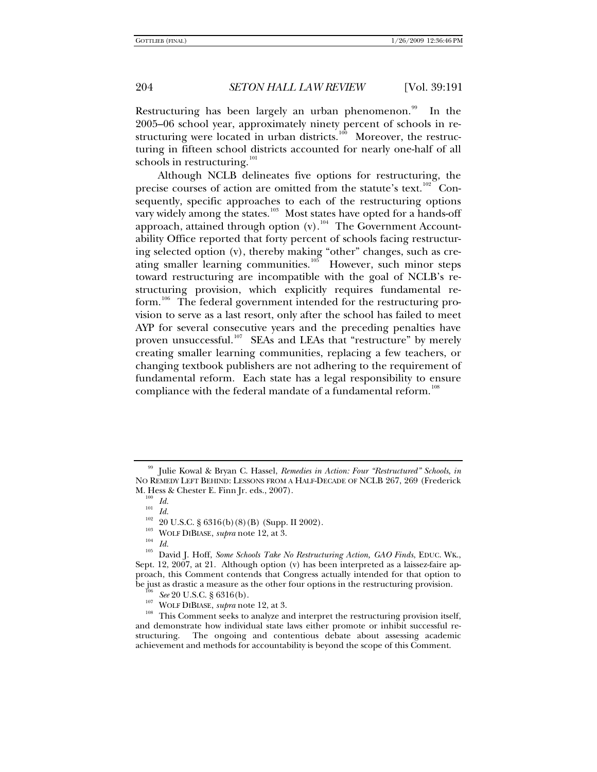Restructuring has been largely an urban phenomenon.<sup>[99](#page-13-0)</sup> In the 2005–06 school year, approximately ninety percent of schools in re-structuring were located in urban districts.<sup>[100](#page-13-1)</sup> Moreover, the restructuring in fifteen school districts accounted for nearly one-half of all schools in restructuring.<sup>[101](#page-13-2)</sup>

Although NCLB delineates five options for restructuring, the precise courses of action are omitted from the statute's text.<sup>[102](#page-13-3)</sup> Consequently, specific approaches to each of the restructuring options vary widely among the states.<sup>[103](#page-13-4)</sup> Most states have opted for a hands-off approach, attained through option  $(v)$ .<sup>[104](#page-13-5)</sup> The Government Accountability Office reported that forty percent of schools facing restructuring selected option (v), thereby making "other" changes, such as cre-ating smaller learning communities.<sup>[105](#page-13-6)</sup> However, such minor steps toward restructuring are incompatible with the goal of NCLB's restructuring provision, which explicitly requires fundamental re-form.<sup>[106](#page-13-7)</sup> The federal government intended for the restructuring provision to serve as a last resort, only after the school has failed to meet AYP for several consecutive years and the preceding penalties have proven unsuccessful.<sup>[107](#page-13-8)</sup> SEAs and LEAs that "restructure" by merely creating smaller learning communities, replacing a few teachers, or changing textbook publishers are not adhering to the requirement of fundamental reform. Each state has a legal responsibility to ensure compliance with the federal mandate of a fundamental reform.<sup>[108](#page-13-9)</sup>

<span id="page-13-2"></span><span id="page-13-1"></span><span id="page-13-0"></span><sup>99</sup> Julie Kowal & Bryan C. Hassel, *Remedies in Action: Four "Restructured" Schools*, *in*  NO REMEDY LEFT BEHIND: LESSONS FROM A HALF-DECADE OF NCLB 267, 269 (Frederick M. Hess & Chester E. Finn Jr. eds., 2007).<br>
<sup>100</sup> *Id.*<br>
<sup>101</sup> *Id.*<br>
<sup>102</sup> 20 U.S.C. § 6316(b)(8)(B) (Supp. II 2002).<br>
<sup>103</sup> WOLF DIBIASE, *supra* note 12, at 3.<br>
<sup>104</sup> *Id.*<br>
<sup>105</sup> David J. Hoff, *Some Schools Take No R* 

<span id="page-13-6"></span><span id="page-13-5"></span><span id="page-13-4"></span><span id="page-13-3"></span>Sept. 12, 2007, at 21. Although option (v) has been interpreted as a laissez-faire approach, this Comment contends that Congress actually intended for that option to

<span id="page-13-9"></span><span id="page-13-8"></span><span id="page-13-7"></span>be just as drastic a measure as the other four options in the restructuring provision.<br>
<sup>106</sup> See 20 U.S.C. § 6316(b).<br>
<sup>107</sup> WOLF DIBIASE, *supra* note 12, at 3.<br>
<sup>108</sup> This Comment seeks to analyze and interpret the res and demonstrate how individual state laws either promote or inhibit successful restructuring. The ongoing and contentious debate about assessing academic achievement and methods for accountability is beyond the scope of this Comment.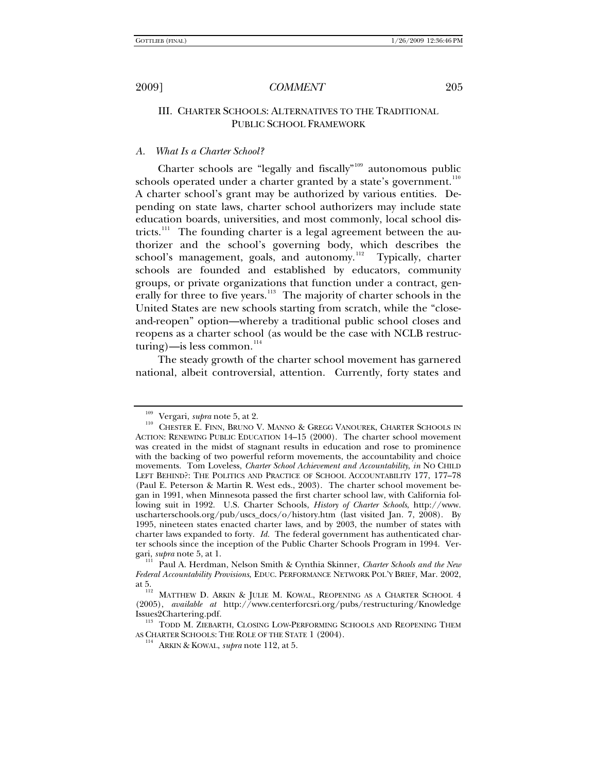## III. CHARTER SCHOOLS: ALTERNATIVES TO THE TRADITIONAL PUBLIC SCHOOL FRAMEWORK

#### *A. What Is a Charter School?*

Charter schools are "legally and fiscally"<sup>[109](#page-14-0)</sup> autonomous public schools operated under a charter granted by a state's government. $110$ A charter school's grant may be authorized by various entities. Depending on state laws, charter school authorizers may include state education boards, universities, and most commonly, local school dis-tricts.<sup>[111](#page-14-2)</sup> The founding charter is a legal agreement between the authorizer and the school's governing body, which describes the school's management, goals, and autonomy.<sup>[112](#page-14-3)</sup> Typically, charter schools are founded and established by educators, community groups, or private organizations that function under a contract, gen-erally for three to five years.<sup>[113](#page-14-4)</sup> The majority of charter schools in the United States are new schools starting from scratch, while the "closeand-reopen" option—whereby a traditional public school closes and reopens as a charter school (as would be the case with NCLB restructuring)—is less common. $114$ 

The steady growth of the charter school movement has garnered national, albeit controversial, attention. Currently, forty states and

<span id="page-14-1"></span><span id="page-14-0"></span><sup>&</sup>lt;sup>109</sup> Vergari, *supra* note 5, at 2.<br><sup>110</sup> CHESTER E. FINN, BRUNO V. MANNO & GREGG VANOUREK, CHARTER SCHOOLS IN ACTION: RENEWING PUBLIC EDUCATION 14–15 (2000). The charter school movement was created in the midst of stagnant results in education and rose to prominence with the backing of two powerful reform movements, the accountability and choice movements. Tom Loveless, *Charter School Achievement and Accountability*, *in* NO CHILD LEFT BEHIND?: THE POLITICS AND PRACTICE OF SCHOOL ACCOUNTABILITY 177, 177–78 (Paul E. Peterson & Martin R. West eds., 2003). The charter school movement began in 1991, when Minnesota passed the first charter school law, with California following suit in 1992. U.S. Charter Schools, *History of Charter Schools*, http://www. uscharterschools.org/pub/uscs\_docs/o/history.htm (last visited Jan. 7, 2008). By 1995, nineteen states enacted charter laws, and by 2003, the number of states with charter laws expanded to forty. *Id.* The federal government has authenticated charter schools since the inception of the Public Charter Schools Program in 1994. Vergari, *supra* note 5, at 1.

<span id="page-14-2"></span>Paul A. Herdman, Nelson Smith & Cynthia Skinner, *Charter Schools and the New Federal Accountability Provisions*, EDUC. PERFORMANCE NETWORK POL'Y BRIEF, Mar. 2002, at 5.<br><sup>112</sup> Matthew D. Arkin & Julie M. Kowal, Reopening as a Charter School 4

<span id="page-14-3"></span><sup>(2005),</sup> *available at* http://www.centerforcsri.org/pubs/restructuring/Knowledge

<span id="page-14-5"></span><span id="page-14-4"></span>Issues2Chartering.pdf.<br><sup>113</sup> TODD M. ZIEBARTH, CLOSING LOW-PERFORMING SCHOOLS AND REOPENING THEM<br>AS CHARTER SCHOOLS: THE ROLE OF THE STATE 1 (2004).

<sup>&</sup>lt;sup>114</sup> ARKIN & KOWAL, *supra* note 112, at 5.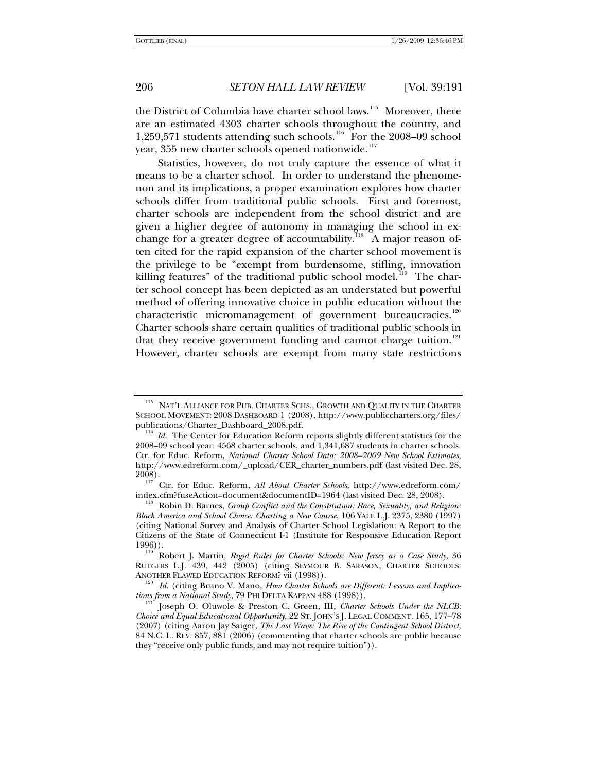the District of Columbia have charter school laws.<sup>[115](#page-15-0)</sup> Moreover, there are an estimated 4303 charter schools throughout the country, and 1,259,571 students attending such schools.<sup>[116](#page-15-1)</sup> For the 2008–09 school year, 355 new charter schools opened nationwide.<sup>[117](#page-15-2)</sup>

Statistics, however, do not truly capture the essence of what it means to be a charter school. In order to understand the phenomenon and its implications, a proper examination explores how charter schools differ from traditional public schools. First and foremost, charter schools are independent from the school district and are given a higher degree of autonomy in managing the school in ex-change for a greater degree of accountability.<sup>[118](#page-15-3)</sup> A major reason often cited for the rapid expansion of the charter school movement is the privilege to be "exempt from burdensome, stifling, innovation killing features" of the traditional public school model.<sup>[119](#page-15-4)</sup> The charter school concept has been depicted as an understated but powerful method of offering innovative choice in public education without the characteristic micromanagement of government bureaucracies.<sup>[120](#page-15-5)</sup> Charter schools share certain qualities of traditional public schools in that they receive government funding and cannot charge tuition.<sup>[121](#page-15-6)</sup> However, charter schools are exempt from many state restrictions

<span id="page-15-0"></span> $^{115}\,$  NAT'L ALLIANCE FOR PUB. CHARTER SCHS., GROWTH AND QUALITY IN THE CHARTER SCHOOL MOVEMENT: 2008 DASHBOARD 1 (2008), http://www.publiccharters.org/files/<br>publications/Charter\_Dashboard\_2008.pdf.

<span id="page-15-1"></span><sup>&</sup>lt;sup>116</sup> Id. The Center for Education Reform reports slightly different statistics for the 2008–09 school year: 4568 charter schools, and 1,341,687 students in charter schools. Ctr. for Educ. Reform, *National Charter School Data: 2008–2009 New School Estimates*, http://www.edreform.com/\_upload/CER\_charter\_numbers.pdf (last visited Dec. 28,

<span id="page-15-2"></span><sup>2008).&</sup>lt;br><sup>117</sup> Ctr. for Educ. Reform, *All About Charter Schools*, http://www.edreform.com/<br>index.cfm?fuseAction=document&documentID=1964 (last visited Dec. 28, 2008).

<span id="page-15-3"></span><sup>&</sup>lt;sup>118</sup> Robin D. Barnes, *Group Conflict and the Constitution: Race, Sexuality, and Religion: Black America and School Choice: Charting a New Course*, 106 YALE L.J. 2375, 2380 (1997) (citing National Survey and Analysis of Charter School Legislation: A Report to the Citizens of the State of Connecticut I-1 (Institute for Responsive Education Report

<span id="page-15-4"></span><sup>1996)). 119</sup> Robert J. Martin, *Rigid Rules for Charter Schools: New Jersey as a Case Study*, 36 RUTGERS L.J. 439, 442 (2005) (citing SEYMOUR B. SARASON, CHARTER SCHOOLS: ANOTHER FLAWED EDUCATION REFORM? vii (1998)).<br><sup>120</sup> Id. (citing Bruno V. Mano, *How Charter Schools are Different: Lessons and Implica-*

<span id="page-15-5"></span>*tions from a National Study*, 79 PHI DELTA KAPPAN 488 (1998)).<br><sup>121</sup> Joseph O. Oluwole & Preston C. Green, III, *Charter Schools Under the NLCB*:

<span id="page-15-6"></span>*Choice and Equal Educational Opportunity*, 22 ST. JOHN'S J. LEGAL COMMENT. 165, 177–78 (2007) (citing Aaron Jay Saiger, *The Last Wave: The Rise of the Contingent School District*, 84 N.C. L. REV. 857, 881 (2006) (commenting that charter schools are public because they "receive only public funds, and may not require tuition")).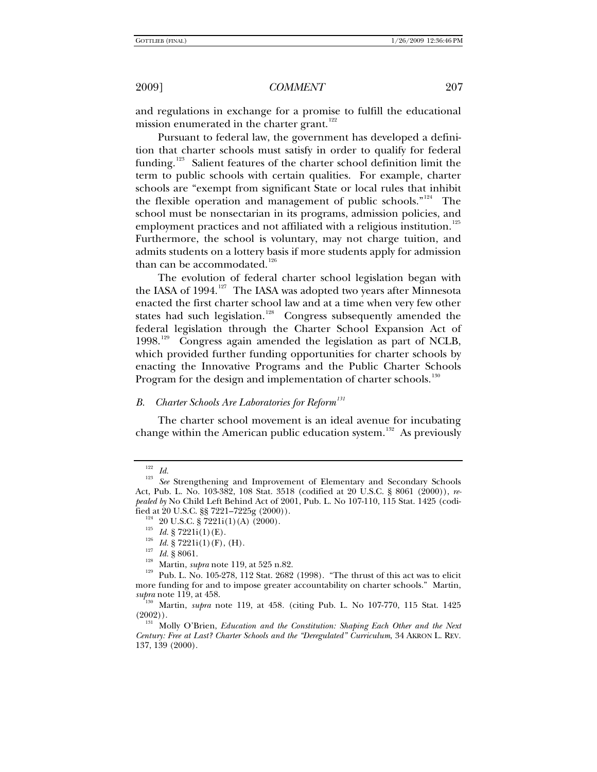and regulations in exchange for a promise to fulfill the educational mission enumerated in the charter grant.<sup>[122](#page-16-0)</sup>

Pursuant to federal law, the government has developed a definition that charter schools must satisfy in order to qualify for federal funding.<sup>[123](#page-16-1)</sup> Salient features of the charter school definition limit the term to public schools with certain qualities. For example, charter schools are "exempt from significant State or local rules that inhibit the flexible operation and management of public schools."<sup>[124](#page-16-2)</sup> The school must be nonsectarian in its programs, admission policies, and employment practices and not affiliated with a religious institution.<sup>[125](#page-16-3)</sup> Furthermore, the school is voluntary, may not charge tuition, and admits students on a lottery basis if more students apply for admission than can be accommodated.<sup>[126](#page-16-4)</sup>

The evolution of federal charter school legislation began with the IASA of 1994.<sup>[127](#page-16-5)</sup> The IASA was adopted two years after Minnesota enacted the first charter school law and at a time when very few other states had such legislation.<sup>[128](#page-16-6)</sup> Congress subsequently amended the federal legislation through the Charter School Expansion Act of 1998.<sup>[129](#page-16-7)</sup> Congress again amended the legislation as part of NCLB, which provided further funding opportunities for charter schools by enacting the Innovative Programs and the Public Charter Schools Program for the design and implementation of charter schools.<sup>[130](#page-16-8)</sup>

# *B. Charter Schools Are Laboratories for Reform[131](#page-16-9)*

The charter school movement is an ideal avenue for incubating change within the American public education system.<sup>[132](#page-16-10)</sup> As previously

<span id="page-16-10"></span><span id="page-16-2"></span><span id="page-16-1"></span><span id="page-16-0"></span><sup>122</sup> *Id.* <sup>123</sup> *See* Strengthening and Improvement of Elementary and Secondary Schools Act, Pub. L. No. 103-382, 108 Stat. 3518 (codified at 20 U.S.C. § 8061 (2000)), *repealed by* No Child Left Behind Act of 2001, Pub. L. No 107-110, 115 Stat. 1425 (codified at 20 U.S.C. §§ 7221-7225g (2000)).<br><sup>124</sup> 20 U.S.C. § 7221i(1)(A) (2000).<br><sup>125</sup> *Id.* § 7221i(1)(E).<br><sup>125</sup> *Id.* § 7221i(1)(F), (H).<br><sup>127</sup> *Id.* § 8061.<br><sup>128</sup> Martin, *supra* note 119, at 525 n.82.<br><sup>129</sup> Pub. L. No.

<span id="page-16-7"></span><span id="page-16-6"></span><span id="page-16-5"></span><span id="page-16-4"></span><span id="page-16-3"></span>more funding for and to impose greater accountability on charter schools." Martin,

<span id="page-16-8"></span>*supra* note 119, at 458.<br><sup>130</sup> Martin, *supra* note 119, at 458. (citing Pub. L. No 107-770, 115 Stat. 1425 (2002)).

<span id="page-16-9"></span><sup>(2002)).</sup> 131 Molly O'Brien, *Education and the Constitution: Shaping Each Other and the Next Century: Free at Last? Charter Schools and the "Deregulated" Curriculum*, 34 AKRON L. REV. 137, 139 (2000).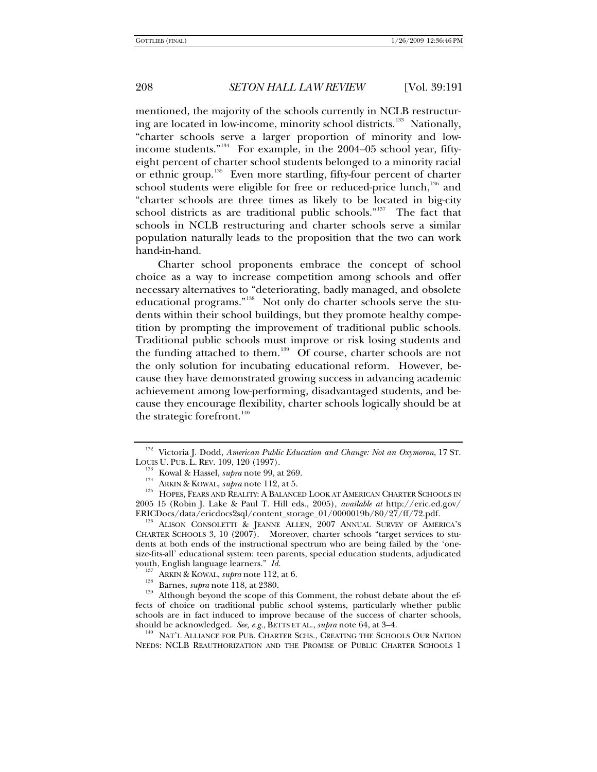mentioned, the majority of the schools currently in NCLB restructur-ing are located in low-income, minority school districts.<sup>[133](#page-17-0)</sup> Nationally, "charter schools serve a larger proportion of minority and low-income students."<sup>[134](#page-17-1)</sup> For example, in the 2004–05 school year, fiftyeight percent of charter school students belonged to a minority racial or ethnic group.<sup>[135](#page-17-2)</sup> Even more startling, fifty-four percent of charter school students were eligible for free or reduced-price lunch, $136$  and "charter schools are three times as likely to be located in big-city school districts as are traditional public schools."<sup>[137](#page-17-4)</sup> The fact that schools in NCLB restructuring and charter schools serve a similar population naturally leads to the proposition that the two can work hand-in-hand.

Charter school proponents embrace the concept of school choice as a way to increase competition among schools and offer necessary alternatives to "deteriorating, badly managed, and obsolete educational programs."<sup>[138](#page-17-5)</sup> Not only do charter schools serve the students within their school buildings, but they promote healthy competition by prompting the improvement of traditional public schools. Traditional public schools must improve or risk losing students and the funding attached to them.<sup>[139](#page-17-6)</sup> Of course, charter schools are not the only solution for incubating educational reform. However, because they have demonstrated growing success in advancing academic achievement among low-performing, disadvantaged students, and because they encourage flexibility, charter schools logically should be at the strategic forefront. $140$ 

<span id="page-17-6"></span><span id="page-17-5"></span><span id="page-17-4"></span><sup>137</sup> ARKIN & KOWAL, *supra* note 112, at 6.<br><sup>138</sup> Barnes, *supra* note 118, at 2380. <br><sup>139</sup> Although beyond the scope of this Comment, the robust debate about the effects of choice on traditional public school systems, particularly whether public schools are in fact induced to improve because of the success of charter schools,

<span id="page-17-7"></span>should be acknowledged. *See, e.g.*, BETTS ET AL., *supra* note 64, at 3–4.<br><sup>140</sup> NAT'L ALLIANCE FOR PUB. CHARTER SCHS., CREATING THE SCHOOLS OUR NATION NEEDS: NCLB REAUTHORIZATION AND THE PROMISE OF PUBLIC CHARTER SCHOOLS 1

<sup>&</sup>lt;sup>132</sup> Victoria J. Dodd, *American Public Education and Change: Not an Oxymoron*, 17 ST. LOUIS U. PUB. L. REV. 109, 120 (1997).

<span id="page-17-2"></span><span id="page-17-1"></span><span id="page-17-0"></span><sup>&</sup>lt;sup>153</sup> Kowal & Hassel, *supra* note 99, at 269.<br><sup>134</sup> Arkin & Kowal, *supra* note 112, at 5. 135 HOPES, FEARS AND REALITY: A BALANCED LOOK AT AMERICAN CHARTER SCHOOLS IN 2005 15 (Robin J. Lake & Paul T. Hill eds., 2005), *available at* http://eric.ed.gov/ ERICDocs/data/ericdocs2sql/content\_storage\_01/0000019b/80/27/ff/72.pdf. 136 ALISON CONSOLETTI & JEANNE ALLEN, <sup>2007</sup> ANNUAL SURVEY OF AMERICA'S

<span id="page-17-3"></span>CHARTER SCHOOLS 3, 10 (2007). Moreover, charter schools "target services to students at both ends of the instructional spectrum who are being failed by the 'onesize-fits-all' educational system: teen parents, special education students, adjudicated youth, English language learners."  $Id$ .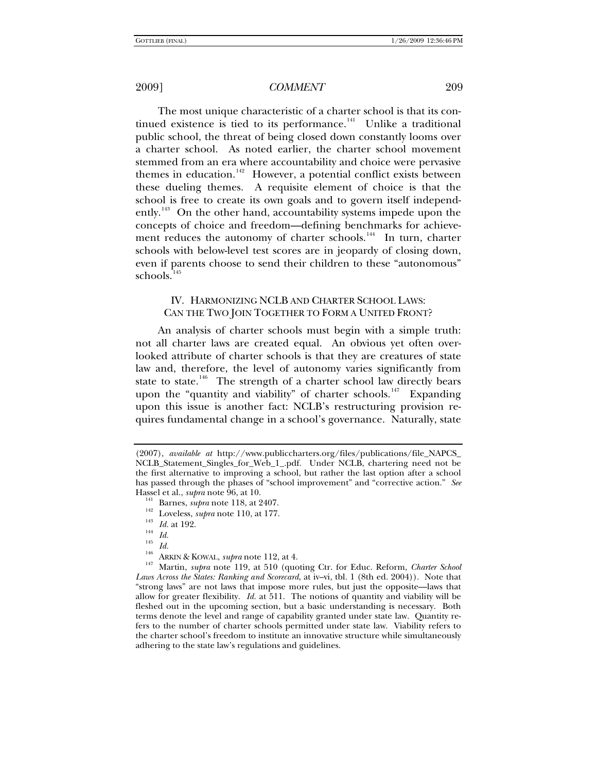The most unique characteristic of a charter school is that its continued existence is tied to its performance.<sup> $141$ </sup> Unlike a traditional public school, the threat of being closed down constantly looms over a charter school. As noted earlier, the charter school movement stemmed from an era where accountability and choice were pervasive themes in education.<sup>[142](#page-18-1)</sup> However, a potential conflict exists between these dueling themes. A requisite element of choice is that the school is free to create its own goals and to govern itself independ-ently.<sup>[143](#page-18-2)</sup> On the other hand, accountability systems impede upon the concepts of choice and freedom—defining benchmarks for achieve-ment reduces the autonomy of charter schools.<sup>[144](#page-18-3)</sup> In turn, charter schools with below-level test scores are in jeopardy of closing down, even if parents choose to send their children to these "autonomous" schools. $145$ 

### IV. HARMONIZING NCLB AND CHARTER SCHOOL LAWS: CAN THE TWO JOIN TOGETHER TO FORM A UNITED FRONT?

An analysis of charter schools must begin with a simple truth: not all charter laws are created equal. An obvious yet often overlooked attribute of charter schools is that they are creatures of state law and, therefore, the level of autonomy varies significantly from state to state.<sup>[146](#page-18-5)</sup> The strength of a charter school law directly bears upon the "quantity and viability" of charter schools.<sup>[147](#page-18-6)</sup> Expanding upon this issue is another fact: NCLB's restructuring provision requires fundamental change in a school's governance. Naturally, state

<sup>(2007),</sup> *available at* http://www.publiccharters.org/files/publications/file\_NAPCS\_ NCLB\_Statement\_Singles\_for\_Web\_1\_.pdf. Under NCLB, chartering need not be the first alternative to improving a school, but rather the last option after a school has passed through the phases of "school improvement" and "corrective action." *See*

<span id="page-18-6"></span><span id="page-18-5"></span>

<span id="page-18-4"></span><span id="page-18-3"></span><span id="page-18-2"></span><span id="page-18-1"></span><span id="page-18-0"></span>Hassel et al., *supra* note 96, at 10.<br>
<sup>141</sup> Barnes, *supra* note 118, at 2407.<br>
<sup>142</sup> Loveless, *supra* note 110, at 177.<br>
<sup>143</sup> *Id.* at 192.<br>
<sup>145</sup> *Id.*<br>
<sup>146</sup> ARKIN & KOWAL, *supra* note 112, at 4.<br>
<sup>146</sup> ARKIN & KO *Laws Across the States: Ranking and Scorecard*, at iv–vi, tbl. 1 (8th ed. 2004)). Note that "strong laws" are not laws that impose more rules, but just the opposite—laws that allow for greater flexibility. *Id.* at 511.The notions of quantity and viability will be fleshed out in the upcoming section, but a basic understanding is necessary. Both terms denote the level and range of capability granted under state law. Quantity refers to the number of charter schools permitted under state law. Viability refers to the charter school's freedom to institute an innovative structure while simultaneously adhering to the state law's regulations and guidelines.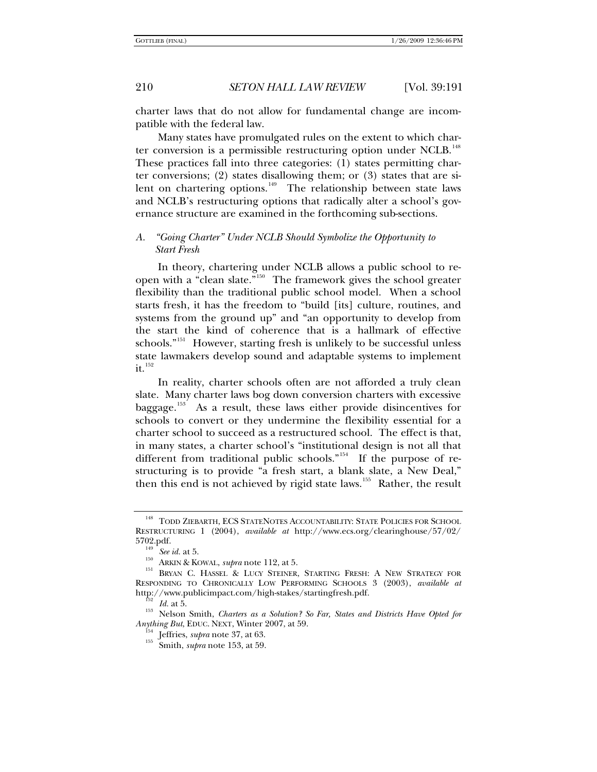charter laws that do not allow for fundamental change are incompatible with the federal law.

Many states have promulgated rules on the extent to which char-ter conversion is a permissible restructuring option under NCLB.<sup>[148](#page-19-0)</sup> These practices fall into three categories: (1) states permitting charter conversions; (2) states disallowing them; or (3) states that are si-lent on chartering options.<sup>[149](#page-19-1)</sup> The relationship between state laws and NCLB's restructuring options that radically alter a school's governance structure are examined in the forthcoming sub-sections.

## *A. "Going Charter" Under NCLB Should Symbolize the Opportunity to Start Fresh*

In theory, chartering under NCLB allows a public school to re-open with a "clean slate."<sup>[150](#page-19-2)</sup> The framework gives the school greater flexibility than the traditional public school model. When a school starts fresh, it has the freedom to "build [its] culture, routines, and systems from the ground up" and "an opportunity to develop from the start the kind of coherence that is a hallmark of effective schools."<sup>[151](#page-19-3)</sup> However, starting fresh is unlikely to be successful unless state lawmakers develop sound and adaptable systems to implement  $\mathbf{it}$ <sup>[152](#page-19-4)</sup>

In reality, charter schools often are not afforded a truly clean slate. Many charter laws bog down conversion charters with excessive baggage.<sup>[153](#page-19-5)</sup> As a result, these laws either provide disincentives for schools to convert or they undermine the flexibility essential for a charter school to succeed as a restructured school. The effect is that, in many states, a charter school's "institutional design is not all that different from traditional public schools."<sup>[154](#page-19-6)</sup> If the purpose of restructuring is to provide "a fresh start, a blank slate, a New Deal," then this end is not achieved by rigid state laws.<sup>[155](#page-19-7)</sup> Rather, the result

<span id="page-19-0"></span><sup>&</sup>lt;sup>148</sup> TODD ZIEBARTH, ECS STATENOTES ACCOUNTABILITY: STATE POLICIES FOR SCHOOL RESTRUCTURING 1 (2004), *available at* http://www.ecs.org/clearinghouse/57/02/<br>5702.pdf.<br><sup>149</sup> Segid at 5

<span id="page-19-2"></span><span id="page-19-1"></span><sup>&</sup>lt;sup>149</sup> See id. at 5.<br><sup>150</sup> ARKIN & KOWAL, *supra* note 112, at 5.<br><sup>151</sup> BRYAN C. HASSEL & LUCY STEINER, STARTING FRESH: A NEW STRATEGY FOR RESPONDING TO CHRONICALLY LOW PERFORMING SCHOOLS 3 (2003), *available at* 

<span id="page-19-7"></span><span id="page-19-6"></span><span id="page-19-5"></span><span id="page-19-4"></span><span id="page-19-3"></span>http://www.publicimpact.com/high-stakes/startingfresh.pdf.<br><sup>152</sup> Id. at 5.<br><sup>153</sup> Nelson Smith, *Charters as a Solution? So Far, States and Districts Have Opted for Anything But, EDUC. NEXT, Winter 2007, at 59.* 

<sup>&</sup>lt;sup>154</sup> Jeffries, *supra* note 37, at 63.<br><sup>155</sup> Smith, *supra* note 153, at 59.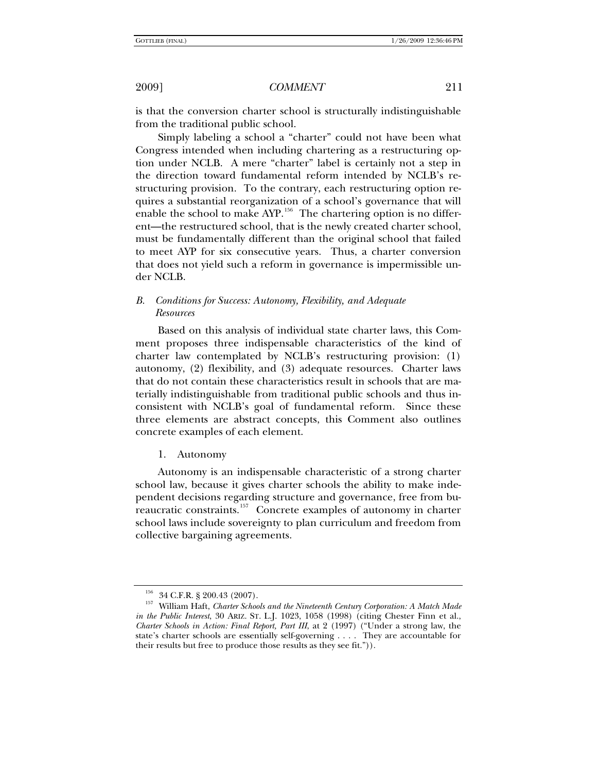is that the conversion charter school is structurally indistinguishable from the traditional public school.

Simply labeling a school a "charter" could not have been what Congress intended when including chartering as a restructuring option under NCLB. A mere "charter" label is certainly not a step in the direction toward fundamental reform intended by NCLB's restructuring provision. To the contrary, each restructuring option requires a substantial reorganization of a school's governance that will enable the school to make AYP.<sup>[156](#page-20-0)</sup> The chartering option is no different—the restructured school, that is the newly created charter school, must be fundamentally different than the original school that failed to meet AYP for six consecutive years. Thus, a charter conversion that does not yield such a reform in governance is impermissible under NCLB.

# *B. Conditions for Success: Autonomy, Flexibility, and Adequate Resources*

Based on this analysis of individual state charter laws, this Comment proposes three indispensable characteristics of the kind of charter law contemplated by NCLB's restructuring provision: (1) autonomy, (2) flexibility, and (3) adequate resources. Charter laws that do not contain these characteristics result in schools that are materially indistinguishable from traditional public schools and thus inconsistent with NCLB's goal of fundamental reform. Since these three elements are abstract concepts, this Comment also outlines concrete examples of each element.

1. Autonomy

Autonomy is an indispensable characteristic of a strong charter school law, because it gives charter schools the ability to make independent decisions regarding structure and governance, free from bureaucratic constraints.[157](#page-20-1) Concrete examples of autonomy in charter school laws include sovereignty to plan curriculum and freedom from collective bargaining agreements.

<span id="page-20-1"></span><span id="page-20-0"></span><sup>156 34</sup> C.F.R. § 200.43 (2007). 157 William Haft, *Charter Schools and the Nineteenth Century Corporation: A Match Made in the Public Interest*, 30 ARIZ. ST. L.J. 1023, 1058 (1998) (citing Chester Finn et al., *Charter Schools in Action: Final Report, Part III*, at 2 (1997) ("Under a strong law, the state's charter schools are essentially self-governing . . . . They are accountable for their results but free to produce those results as they see fit.")).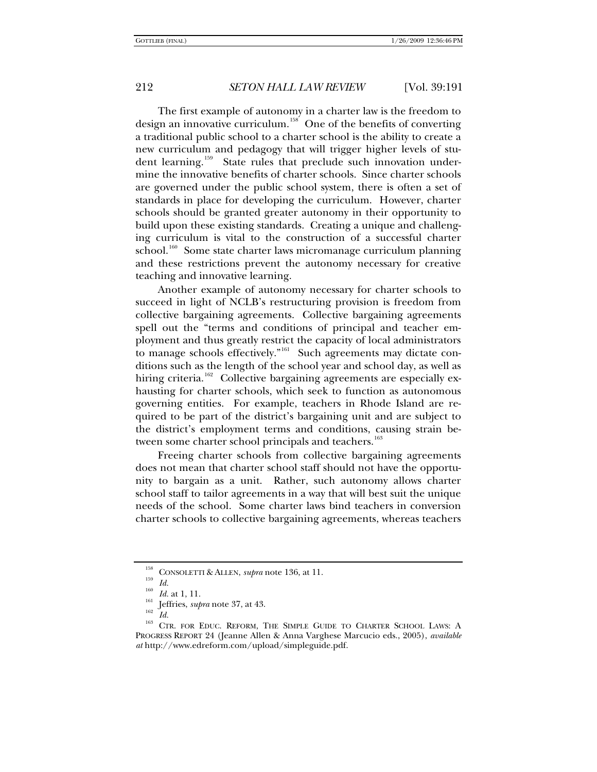The first example of autonomy in a charter law is the freedom to design an innovative curriculum.<sup>[158](#page-21-0)</sup> One of the benefits of converting a traditional public school to a charter school is the ability to create a new curriculum and pedagogy that will trigger higher levels of stu-dent learning.<sup>[159](#page-21-1)</sup> State rules that preclude such innovation undermine the innovative benefits of charter schools. Since charter schools are governed under the public school system, there is often a set of standards in place for developing the curriculum. However, charter schools should be granted greater autonomy in their opportunity to build upon these existing standards. Creating a unique and challenging curriculum is vital to the construction of a successful charter school.<sup>[160](#page-21-2)</sup> Some state charter laws micromanage curriculum planning and these restrictions prevent the autonomy necessary for creative teaching and innovative learning.

Another example of autonomy necessary for charter schools to succeed in light of NCLB's restructuring provision is freedom from collective bargaining agreements. Collective bargaining agreements spell out the "terms and conditions of principal and teacher employment and thus greatly restrict the capacity of local administrators to manage schools effectively."<sup>[161](#page-21-3)</sup> Such agreements may dictate conditions such as the length of the school year and school day, as well as hiring criteria.<sup>[162](#page-21-4)</sup> Collective bargaining agreements are especially exhausting for charter schools, which seek to function as autonomous governing entities. For example, teachers in Rhode Island are required to be part of the district's bargaining unit and are subject to the district's employment terms and conditions, causing strain be-tween some charter school principals and teachers.<sup>[163](#page-21-5)</sup>

Freeing charter schools from collective bargaining agreements does not mean that charter school staff should not have the opportunity to bargain as a unit. Rather, such autonomy allows charter school staff to tailor agreements in a way that will best suit the unique needs of the school. Some charter laws bind teachers in conversion charter schools to collective bargaining agreements, whereas teachers

<span id="page-21-5"></span>

<span id="page-21-4"></span><span id="page-21-3"></span><span id="page-21-2"></span><span id="page-21-1"></span><span id="page-21-0"></span><sup>&</sup>lt;sup>158</sup> CONSOLETTI & ALLEN, *supra* note 136, at 11.<br>
<sup>159</sup> *Id. Id.* at 1, 11.<br>
<sup>161</sup> Jeffries, *supra* note 37, at 43.<br>
<sup>162</sup> *Id.* <sup>163</sup> CTR. FOR EDUC. REFORM, THE SIMPLE GUIDE TO CHARTER SCHOOL LAWS: A PROGRESS REPORT 24 (Jeanne Allen & Anna Varghese Marcucio eds., 2005), *available at* http://www.edreform.com/upload/simpleguide.pdf.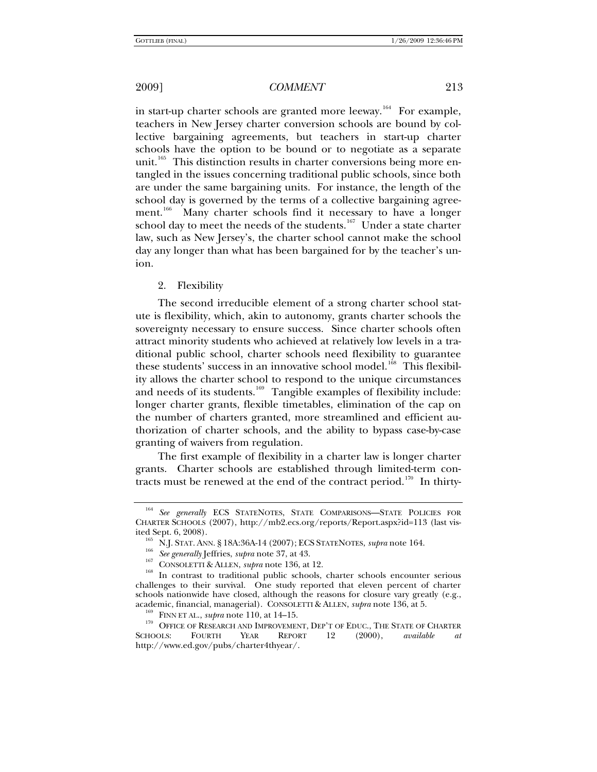in start-up charter schools are granted more leeway.<sup>[164](#page-22-0)</sup> For example, teachers in New Jersey charter conversion schools are bound by collective bargaining agreements, but teachers in start-up charter schools have the option to be bound or to negotiate as a separate unit.<sup>[165](#page-22-1)</sup> This distinction results in charter conversions being more entangled in the issues concerning traditional public schools, since both are under the same bargaining units. For instance, the length of the school day is governed by the terms of a collective bargaining agree-ment.<sup>[166](#page-22-2)</sup> Many charter schools find it necessary to have a longer school day to meet the needs of the students.<sup>[167](#page-22-3)</sup> Under a state charter law, such as New Jersey's, the charter school cannot make the school day any longer than what has been bargained for by the teacher's union.

#### 2. Flexibility

The second irreducible element of a strong charter school statute is flexibility, which, akin to autonomy, grants charter schools the sovereignty necessary to ensure success. Since charter schools often attract minority students who achieved at relatively low levels in a traditional public school, charter schools need flexibility to guarantee these students' success in an innovative school model.<sup>[168](#page-22-4)</sup> This flexibility allows the charter school to respond to the unique circumstances and needs of its students.<sup>[169](#page-22-5)</sup> Tangible examples of flexibility include: longer charter grants, flexible timetables, elimination of the cap on the number of charters granted, more streamlined and efficient authorization of charter schools, and the ability to bypass case-by-case granting of waivers from regulation.

The first example of flexibility in a charter law is longer charter grants. Charter schools are established through limited-term con-tracts must be renewed at the end of the contract period.<sup>[170](#page-22-6)</sup> In thirty-

<span id="page-22-0"></span><sup>164</sup> *See generally* ECS STATENOTES, STATE COMPARISONS—STATE POLICIES FOR CHARTER SCHOOLS (2007), http://mb2.ecs.org/reports/Report.aspx?id=113 (last vis-

<span id="page-22-4"></span><span id="page-22-3"></span><span id="page-22-2"></span><span id="page-22-1"></span><sup>&</sup>lt;sup>165</sup> N.J. STAT. ANN. § 18A:36A-14 (2007); ECS STATENOTES, *supra* note 164.<br><sup>166</sup> *See generally* Jeffries, *supra* note 37, at 43.<br><sup>167</sup> CONSOLETTI & ALLEN, *supra* note 136, at 12.<br><sup>168</sup> In contrast to traditional publ challenges to their survival. One study reported that eleven percent of charter schools nationwide have closed, although the reasons for closure vary greatly (e.g., academic, financial, managerial). CONSOLETTI & ALLEN, *supra* note 136, at 5.

<span id="page-22-6"></span><span id="page-22-5"></span><sup>&</sup>lt;sup>159</sup> FINN ET AL., *supra* note 110, at 14–15.<br><sup>170</sup> OFFICE OF RESEARCH AND IMPROVEMENT, DEP'T OF EDUC., THE STATE OF CHARTER SCHOOLS: FOURTH YEAR REPORT 12 (2000), *available at*  http://www.ed.gov/pubs/charter4thyear/.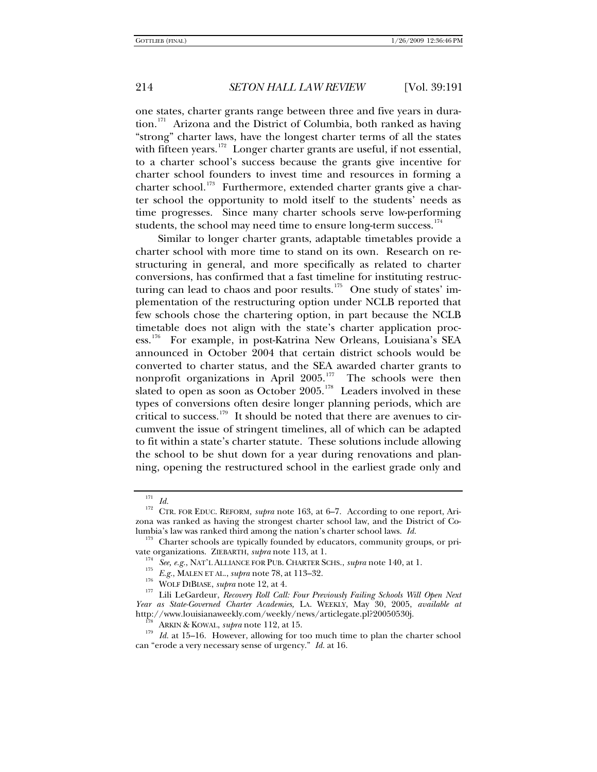one states, charter grants range between three and five years in dura-tion.<sup>[171](#page-23-0)</sup> Arizona and the District of Columbia, both ranked as having "strong" charter laws, have the longest charter terms of all the states with fifteen years.<sup>[172](#page-23-1)</sup> Longer charter grants are useful, if not essential, to a charter school's success because the grants give incentive for charter school founders to invest time and resources in forming a charter school.<sup>[173](#page-23-2)</sup> Furthermore, extended charter grants give a charter school the opportunity to mold itself to the students' needs as time progresses. Since many charter schools serve low-performing students, the school may need time to ensure long-term success.<sup>[174](#page-23-3)</sup>

Similar to longer charter grants, adaptable timetables provide a charter school with more time to stand on its own. Research on restructuring in general, and more specifically as related to charter conversions, has confirmed that a fast timeline for instituting restruc-turing can lead to chaos and poor results.<sup>[175](#page-23-4)</sup> One study of states' implementation of the restructuring option under NCLB reported that few schools chose the chartering option, in part because the NCLB timetable does not align with the state's charter application process.[176](#page-23-5) For example, in post-Katrina New Orleans, Louisiana's SEA announced in October 2004 that certain district schools would be converted to charter status, and the SEA awarded charter grants to nonprofit organizations in April 2005.<sup>[177](#page-23-6)</sup> The schools were then slated to open as soon as October 2005.<sup>[178](#page-23-7)</sup> Leaders involved in these types of conversions often desire longer planning periods, which are critical to success.<sup>[179](#page-23-8)</sup> It should be noted that there are avenues to circumvent the issue of stringent timelines, all of which can be adapted to fit within a state's charter statute. These solutions include allowing the school to be shut down for a year during renovations and planning, opening the restructured school in the earliest grade only and

<span id="page-23-1"></span><span id="page-23-0"></span><sup>&</sup>lt;sup>171</sup> *Id.* 172<sup>17</sup> CTR. FOR EDUC. REFORM, *supra* note 163, at 6–7. According to one report, Arizona was ranked as having the strongest charter school law, and the District of Co-

<span id="page-23-3"></span><span id="page-23-2"></span>lumbia's law was ranked third among the nation's charter school laws. *Id.* 173 Charter schools are typically founded by educators, community groups, or private organizations. ZIEBARTH, *supra* note 113, at 1.<br>
<sup>174</sup> See, e.g., NAT'L ALLIANCE FOR PUB. CHARTER SCHS., *supra* note 140, at 1.<br>
<sup>175</sup> E.g., MALEN ET AL., *supra* note 78, at 113–32.<br>
<sup>176</sup> WOLF DIBIASE, *supra* no

<span id="page-23-6"></span><span id="page-23-5"></span><span id="page-23-4"></span>*Year as State-Governed Charter Academies,* LA. WEEKLY, May 30, 2005, *available at*

<span id="page-23-8"></span><span id="page-23-7"></span>http://www.louisianaweekly.com/weekly/news/articlegate.pl?20050530j.<br><sup>178</sup> ARKIN & KOWAL, *supra* note 112, at 15.<br><sup>179</sup> *Id.* at 15–16. However, allowing for too much time to plan the charter school can "erode a very necessary sense of urgency." *Id.* at 16.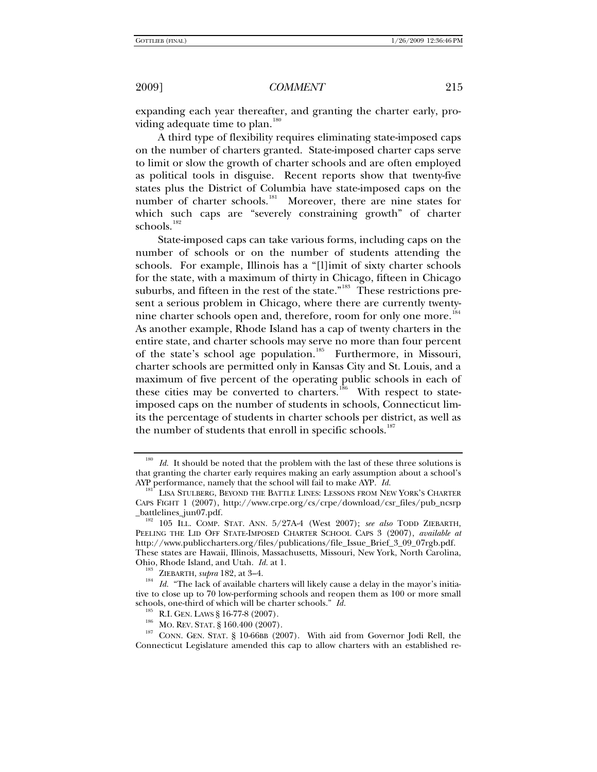expanding each year thereafter, and granting the charter early, providing adequate time to plan. $180$ 

A third type of flexibility requires eliminating state-imposed caps on the number of charters granted. State-imposed charter caps serve to limit or slow the growth of charter schools and are often employed as political tools in disguise. Recent reports show that twenty-five states plus the District of Columbia have state-imposed caps on the number of charter schools.<sup>181</sup> Moreover, there are nine states for Moreover, there are nine states for which such caps are "severely constraining growth" of charter schools.<sup>[182](#page-24-2)</sup>

State-imposed caps can take various forms, including caps on the number of schools or on the number of students attending the schools. For example, Illinois has a "[l]imit of sixty charter schools for the state, with a maximum of thirty in Chicago, fifteen in Chicago suburbs, and fifteen in the rest of the state."<sup>[183](#page-24-3)</sup> These restrictions present a serious problem in Chicago, where there are currently twenty-nine charter schools open and, therefore, room for only one more.<sup>[184](#page-24-4)</sup> As another example, Rhode Island has a cap of twenty charters in the entire state, and charter schools may serve no more than four percent of the state's school age population.<sup>[185](#page-24-5)</sup> Furthermore, in Missouri, charter schools are permitted only in Kansas City and St. Louis, and a maximum of five percent of the operating public schools in each of these cities may be converted to charters.<sup>[186](#page-24-6)</sup> With respect to stateimposed caps on the number of students in schools, Connecticut limits the percentage of students in charter schools per district, as well as the number of students that enroll in specific schools.<sup>[187](#page-24-7)</sup>

<span id="page-24-0"></span><sup>&</sup>lt;sup>180</sup> *Id.* It should be noted that the problem with the last of these three solutions is that granting the charter early requires making an early assumption about a school's AYP performance, namely that the school will fail to make AYP. *Id.* 181 LISA STULBERG, BEYOND THE BATTLE LINES: LESSONS FROM NEW YORK'S CHARTER

<span id="page-24-1"></span>CAPS FIGHT 1 (2007), http://www.crpe.org/cs/crpe/download/csr\_files/pub\_ncsrp

<span id="page-24-2"></span><sup>&</sup>lt;sup>182</sup> 105 ILL. COMP. STAT. ANN. 5/27A-4 (West 2007); see also TODD ZIEBARTH, PEELING THE LID OFF STATE-IMPOSED CHARTER SCHOOL CAPS 3 (2007), *available at*  http://www.publiccharters.org/files/publications/file\_Issue\_Brief\_3\_09\_07rgb.pdf. These states are Hawaii, Illinois, Massachusetts, Missouri, New York, North Carolina, Ohio, Rhode Island, and Utah. *Id.* at 1.<br><sup>183</sup> ZIEBARTH, *supra* 182, at 3–4.<br><sup>184</sup> *Id.* "The lack of available charters will likely cause a delay in the mayor's initia-

<span id="page-24-4"></span><span id="page-24-3"></span>tive to close up to 70 low-performing schools and reopen them as 100 or more small

<span id="page-24-7"></span><span id="page-24-6"></span><span id="page-24-5"></span>schools, one-third of which will be charter schools." *Id.*<br><sup>185</sup> R.I. GEN. LAWS § 16-77-8 (2007).<br><sup>186</sup> MO. REV. STAT. § 160.400 (2007). With aid from Governor Jodi Rell, the<br><sup>187</sup> CONN. GEN. STAT. § 10-66BB (2007). With Connecticut Legislature amended this cap to allow charters with an established re-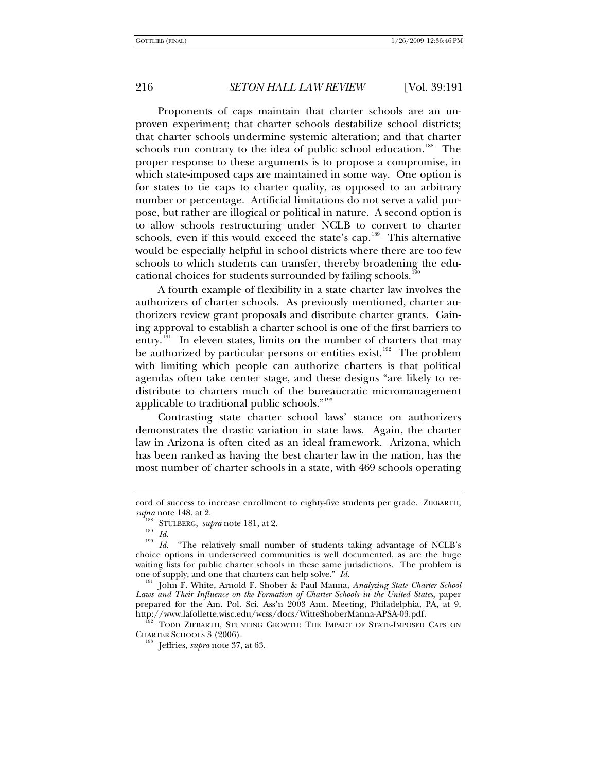Proponents of caps maintain that charter schools are an unproven experiment; that charter schools destabilize school districts; that charter schools undermine systemic alteration; and that charter schools run contrary to the idea of public school education.<sup>[188](#page-25-0)</sup> The proper response to these arguments is to propose a compromise, in which state-imposed caps are maintained in some way. One option is for states to tie caps to charter quality, as opposed to an arbitrary number or percentage. Artificial limitations do not serve a valid purpose, but rather are illogical or political in nature. A second option is to allow schools restructuring under NCLB to convert to charter schools, even if this would exceed the state's cap. $189$  This alternative would be especially helpful in school districts where there are too few schools to which students can transfer, thereby broadening the edu-cational choices for students surrounded by failing schools.<sup>[190](#page-25-2)</sup>

A fourth example of flexibility in a state charter law involves the authorizers of charter schools. As previously mentioned, charter authorizers review grant proposals and distribute charter grants. Gaining approval to establish a charter school is one of the first barriers to entry.<sup>[191](#page-25-3)</sup> In eleven states, limits on the number of charters that may be authorized by particular persons or entities exist.<sup>[192](#page-25-4)</sup> The problem with limiting which people can authorize charters is that political agendas often take center stage, and these designs "are likely to redistribute to charters much of the bureaucratic micromanagement applicable to traditional public schools."<sup>[193](#page-25-5)</sup>

Contrasting state charter school laws' stance on authorizers demonstrates the drastic variation in state laws. Again, the charter law in Arizona is often cited as an ideal framework. Arizona, which has been ranked as having the best charter law in the nation, has the most number of charter schools in a state, with 469 schools operating

<span id="page-25-5"></span><span id="page-25-4"></span>CHARTER SCHOOLS 3 (2006). 193 Jeffries, *supra* note 37, at 63.

cord of success to increase enrollment to eighty-five students per grade. ZIEBARTH, supra note 148, at 2.

<span id="page-25-2"></span><span id="page-25-1"></span><span id="page-25-0"></span><sup>&</sup>lt;sup>188</sup> STULBERG, *supra* note 181, at 2.<br><sup>189</sup> *Id.* "The relatively small number of students taking advantage of NCLB's choice options in underserved communities is well documented, as are the huge waiting lists for public charter schools in these same jurisdictions. The problem is one of supply, and one that charters can help solve."  $Id$ .

<span id="page-25-3"></span>John F. White, Arnold F. Shober & Paul Manna, *Analyzing State Charter School Laws and Their Influence on the Formation of Charter Schools in the United States*, paper prepared for the Am. Pol. Sci. Ass'n 2003 Ann. Meeting, Philadelphia, PA, at 9, http://www.lafollette.wisc.edu/wcss/docs/WitteShoberManna-APSA-03.pdf. 192 TODD ZIEBARTH, STUNTING GROWTH: THE IMPACT OF STATE-IMPOSED CAPS ON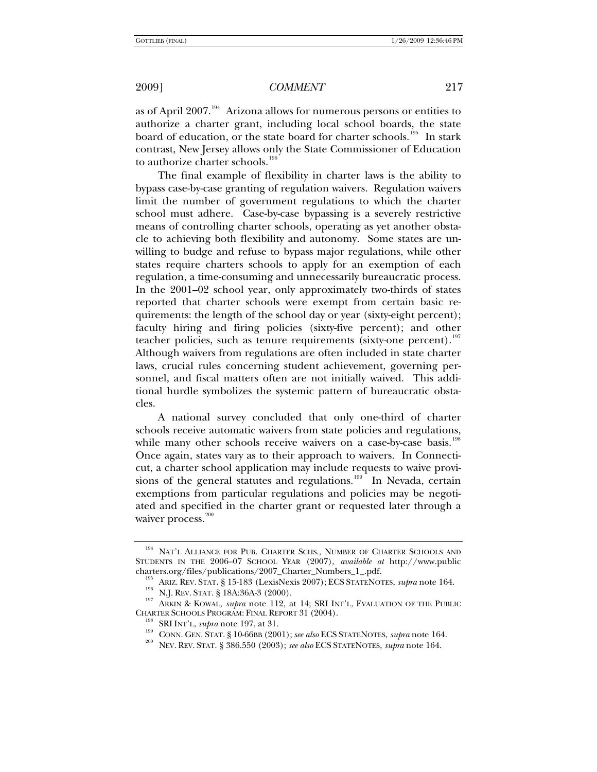as of April 2007.<sup>[194](#page-26-0)</sup> Arizona allows for numerous persons or entities to authorize a charter grant, including local school boards, the state board of education, or the state board for charter schools.<sup>[195](#page-26-1)</sup> In stark contrast, New Jersey allows only the State Commissioner of Education to authorize charter schools.<sup>[196](#page-26-2)</sup>

The final example of flexibility in charter laws is the ability to bypass case-by-case granting of regulation waivers. Regulation waivers limit the number of government regulations to which the charter school must adhere. Case-by-case bypassing is a severely restrictive means of controlling charter schools, operating as yet another obstacle to achieving both flexibility and autonomy. Some states are unwilling to budge and refuse to bypass major regulations, while other states require charters schools to apply for an exemption of each regulation, a time-consuming and unnecessarily bureaucratic process. In the 2001–02 school year, only approximately two-thirds of states reported that charter schools were exempt from certain basic requirements: the length of the school day or year (sixty-eight percent); faculty hiring and firing policies (sixty-five percent); and other teacher policies, such as tenure requirements (sixty-one percent).<sup>[197](#page-26-3)</sup> Although waivers from regulations are often included in state charter laws, crucial rules concerning student achievement, governing personnel, and fiscal matters often are not initially waived. This additional hurdle symbolizes the systemic pattern of bureaucratic obstacles.

A national survey concluded that only one-third of charter schools receive automatic waivers from state policies and regulations, while many other schools receive waivers on a case-by-case basis.<sup>[198](#page-26-4)</sup> Once again, states vary as to their approach to waivers. In Connecticut, a charter school application may include requests to waive provi-sions of the general statutes and regulations.<sup>[199](#page-26-5)</sup> In Nevada, certain exemptions from particular regulations and policies may be negotiated and specified in the charter grant or requested later through a waiver process.<sup>[200](#page-26-6)</sup>

<span id="page-26-0"></span><sup>&</sup>lt;sup>194</sup> NAT'L ALLIANCE FOR PUB. CHARTER SCHS., NUMBER OF CHARTER SCHOOLS AND STUDENTS IN THE 2006–07 SCHOOL YEAR (2007), *available at* http://www.public

<span id="page-26-4"></span><span id="page-26-3"></span><span id="page-26-2"></span><span id="page-26-1"></span><sup>195</sup> ARIZ. REV. STAT. § 15-183 (LexisNexis 2007); ECS STATENOTES, *supra* note 164.<br>
<sup>196</sup> N.J. REV. STAT. § 18A:36A-3 (2000).<br>
<sup>197</sup> ARKIN & KOWAL, *supra* note 112, at 14; SRI INT'L, EVALUATION OF THE PUBLIC<br>
CHARTER SCHO

<span id="page-26-6"></span><span id="page-26-5"></span><sup>&</sup>lt;sup>198</sup> SRI INT'L, *supra* note 197, at 31.<br><sup>199</sup> CONN. GEN. STAT. § 10-66BB (2001); *see also* ECS STATENOTES, *supra* note 164.<br><sup>200</sup> NEV. REV. STAT. § 386.550 (2003); *see also* ECS STATENOTES, *supra* note 164.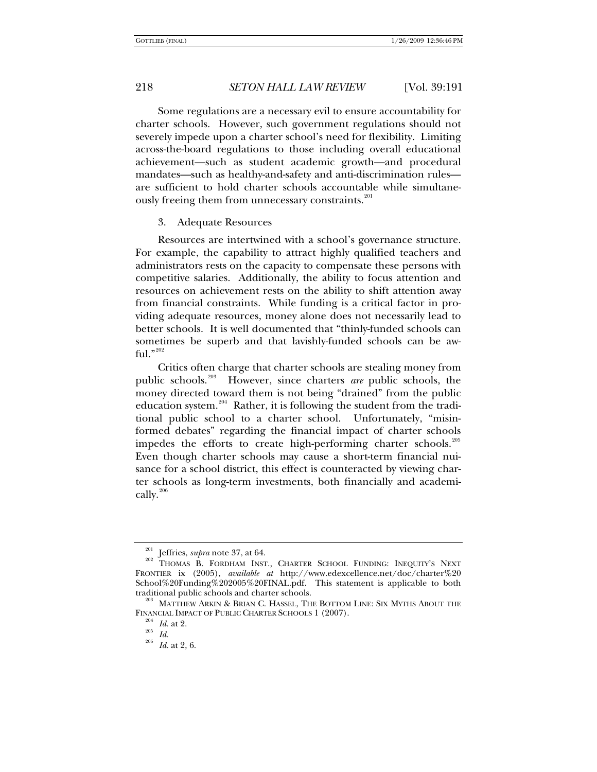Some regulations are a necessary evil to ensure accountability for charter schools. However, such government regulations should not severely impede upon a charter school's need for flexibility. Limiting across-the-board regulations to those including overall educational achievement—such as student academic growth—and procedural mandates—such as healthy-and-safety and anti-discrimination rules are sufficient to hold charter schools accountable while simultane-ously freeing them from unnecessary constraints.<sup>[201](#page-27-0)</sup>

#### 3. Adequate Resources

Resources are intertwined with a school's governance structure. For example, the capability to attract highly qualified teachers and administrators rests on the capacity to compensate these persons with competitive salaries. Additionally, the ability to focus attention and resources on achievement rests on the ability to shift attention away from financial constraints. While funding is a critical factor in providing adequate resources, money alone does not necessarily lead to better schools. It is well documented that "thinly-funded schools can sometimes be superb and that lavishly-funded schools can be awful." $^{202}$  $^{202}$  $^{202}$ 

Critics often charge that charter schools are stealing money from public schools.[203](#page-27-2) However, since charters *are* public schools, the money directed toward them is not being "drained" from the public education system.<sup>[204](#page-27-3)</sup> Rather, it is following the student from the traditional public school to a charter school. Unfortunately, "misinformed debates" regarding the financial impact of charter schools impedes the efforts to create high-performing charter schools.<sup>[205](#page-27-4)</sup> Even though charter schools may cause a short-term financial nuisance for a school district, this effect is counteracted by viewing charter schools as long-term investments, both financially and academi-cally.<sup>[206](#page-27-5)</sup>

<span id="page-27-1"></span><span id="page-27-0"></span><sup>&</sup>lt;sup>201</sup> Jeffries, *supra* note 37, at 64.<br><sup>202</sup> THOMAS B. FORDHAM INST., CHARTER SCHOOL FUNDING: INEQUITY'S NEXT FRONTIER ix (2005), *available at* http://www.edexcellence.net/doc/charter%20 School%20Funding%202005%20FINAL.pdf. This statement is applicable to both traditional public schools and charter schools. 203 MATTHEW ARKIN & BRIAN C. HASSEL, THE BOTTOM LINE: SIX MYTHS ABOUT THE

<span id="page-27-5"></span><span id="page-27-4"></span><span id="page-27-3"></span><span id="page-27-2"></span>FINANCIAL IMPACT OF PUBLIC CHARTER SCHOOLS 1 (2007).<br><sup>204</sup> *Id.* at 2.<br><sup>205</sup> *Id.* at 2, 6.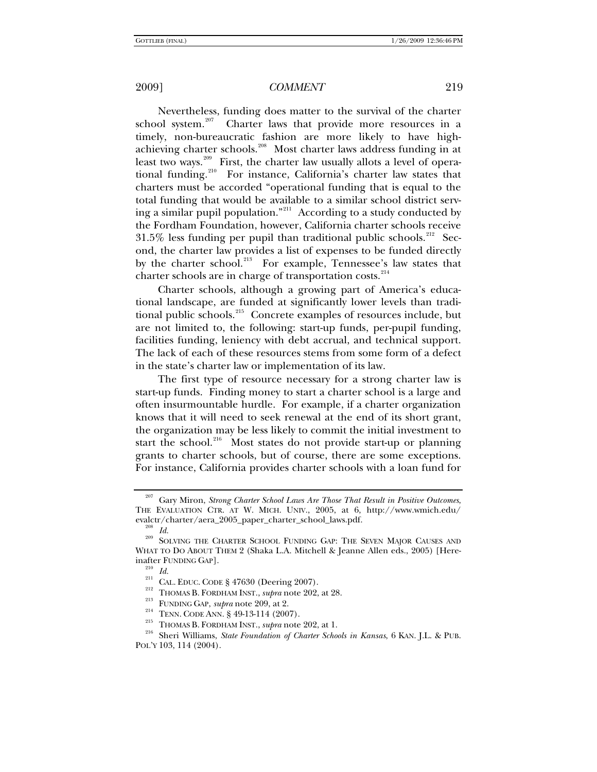Nevertheless, funding does matter to the survival of the charter school system.<sup>207</sup> Charter laws that provide more resources in a Charter laws that provide more resources in a timely, non-bureaucratic fashion are more likely to have high-achieving charter schools.<sup>[208](#page-28-1)</sup> Most charter laws address funding in at least two ways.<sup>[209](#page-28-2)</sup> First, the charter law usually allots a level of opera-tional funding.<sup>[210](#page-28-3)</sup> For instance, California's charter law states that charters must be accorded "operational funding that is equal to the total funding that would be available to a similar school district serving a similar pupil population."[211](#page-28-4) According to a study conducted by the Fordham Foundation, however, California charter schools receive  $31.5\%$  less funding per pupil than traditional public schools.<sup>[212](#page-28-5)</sup> Second, the charter law provides a list of expenses to be funded directly by the charter school.<sup>[213](#page-28-6)</sup> For example, Tennessee's law states that charter schools are in charge of transportation costs.<sup>[214](#page-28-7)</sup>

Charter schools, although a growing part of America's educational landscape, are funded at significantly lower levels than traditional public schools.[215](#page-28-8) Concrete examples of resources include, but are not limited to, the following: start-up funds, per-pupil funding, facilities funding, leniency with debt accrual, and technical support. The lack of each of these resources stems from some form of a defect in the state's charter law or implementation of its law.

The first type of resource necessary for a strong charter law is start-up funds. Finding money to start a charter school is a large and often insurmountable hurdle. For example, if a charter organization knows that it will need to seek renewal at the end of its short grant, the organization may be less likely to commit the initial investment to start the school.<sup>[216](#page-28-9)</sup> Most states do not provide start-up or planning grants to charter schools, but of course, there are some exceptions. For instance, California provides charter schools with a loan fund for

<span id="page-28-0"></span><sup>207</sup> Gary Miron, *Strong Charter School Laws Are Those That Result in Positive Outcomes*, THE EVALUATION CTR. AT W. MICH. UNIV., 2005, at 6, http://www.wmich.edu/ evalctr/charter/aera\_2005\_paper\_charter\_school\_laws.pdf. 208 *Id.* 209 SOLVING THE CHARTER SCHOOL FUNDING GAP: THE SEVEN MAJOR CAUSES AND

<span id="page-28-4"></span><span id="page-28-3"></span><span id="page-28-2"></span><span id="page-28-1"></span>WHAT TO DO ABOUT THEM 2 (Shaka L.A. Mitchell & Jeanne Allen eds., 2005) [Hereinafter FUNDING GAP].<br>
<sup>210</sup> *Id.*<br>
<sup>211</sup> CAL. EDUC. CODE § 47630 (Deering 2007).<br>
<sup>212</sup> THOMAS B. FORDHAM INST., *supra* note 202, at 28.<br>
<sup>213</sup> FUNDING GAP, *supra* note 209, at 2.<br>
<sup>214</sup> TENN. CODE ANN. § 49-13-114 (20

<span id="page-28-9"></span><span id="page-28-8"></span><span id="page-28-7"></span><span id="page-28-6"></span><span id="page-28-5"></span>POL'Y 103, 114 (2004).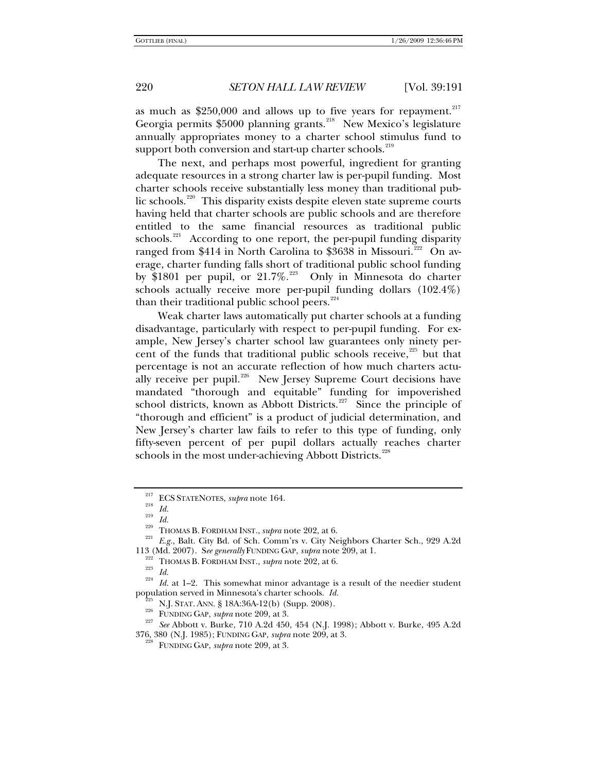as much as  $$250,000$  and allows up to five years for repayment.<sup>[217](#page-29-0)</sup> Georgia permits \$5000 planning grants.<sup>[218](#page-29-1)</sup> New Mexico's legislature annually appropriates money to a charter school stimulus fund to support both conversion and start-up charter schools.<sup>[219](#page-29-2)</sup>

The next, and perhaps most powerful, ingredient for granting adequate resources in a strong charter law is per-pupil funding. Most charter schools receive substantially less money than traditional pub-lic schools.<sup>[220](#page-29-3)</sup> This disparity exists despite eleven state supreme courts having held that charter schools are public schools and are therefore entitled to the same financial resources as traditional public schools.<sup>[221](#page-29-4)</sup> According to one report, the per-pupil funding disparity ranged from \$414 in North Carolina to \$3638 in Missouri.<sup>[222](#page-29-5)</sup> On average, charter funding falls short of traditional public school funding by \$1801 per pupil, or 21.7%.<sup>[223](#page-29-6)</sup> Only in Minnesota do charter schools actually receive more per-pupil funding dollars (102.4%) than their traditional public school peers.<sup>[224](#page-29-7)</sup>

Weak charter laws automatically put charter schools at a funding disadvantage, particularly with respect to per-pupil funding. For example, New Jersey's charter school law guarantees only ninety percent of the funds that traditional public schools receive, $225$  but that percentage is not an accurate reflection of how much charters actu-ally receive per pupil.<sup>[226](#page-29-9)</sup> New Jersey Supreme Court decisions have mandated "thorough and equitable" funding for impoverished school districts, known as Abbott Districts.<sup>[227](#page-29-10)</sup> Since the principle of "thorough and efficient" is a product of judicial determination, and New Jersey's charter law fails to refer to this type of funding, only fifty-seven percent of per pupil dollars actually reaches charter schools in the most under-achieving Abbott Districts.<sup>[228](#page-29-11)</sup>

<span id="page-29-2"></span><span id="page-29-1"></span><span id="page-29-0"></span><sup>&</sup>lt;sup>217</sup> ECS STATENOTES, *supra* note 164.<br><sup>218</sup> *Id.*<br><sup>219</sup> *Id.* 220 THOMAS B. FORDHAM INST., *supra* note 202, at 6.<br><sup>221</sup> *E.g.*, Balt. City Bd. of Sch. Comm'rs v. City Neighbors Charter Sch., 929 A.2d<br>113 (Md. 2007). *Se* 

<span id="page-29-6"></span><span id="page-29-5"></span><span id="page-29-4"></span><span id="page-29-3"></span><sup>&</sup>lt;sup>222</sup> THOMAS B. FORDHAM INST., *supra* note 202, at 6.<br><sup>223</sup> *Id.*<br><sup>224</sup> *Id.* at 1–2. This somewhat minor advantage is a result of the needier student population served in Minnesota's charter schools. *Id.* 

<span id="page-29-11"></span><span id="page-29-10"></span><span id="page-29-9"></span><span id="page-29-8"></span><span id="page-29-7"></span> $^{225}$  N.J. Stat. Ann. § 18A:36A-12(b) (Supp. 2008).<br><sup>226</sup> FUNDING GAP, *supra* note 209, at 3.<br><sup>227</sup> *See* Abbott v. Burke, 710 A.2d 450, 454 (N.J. 1998); Abbott v. Burke, 495 A.2d 376, 380 (N.J. 1985); FUNDING GAP, *supra* note 209, at 3. 228 FUNDING GAP, *supra* note 209, at 3.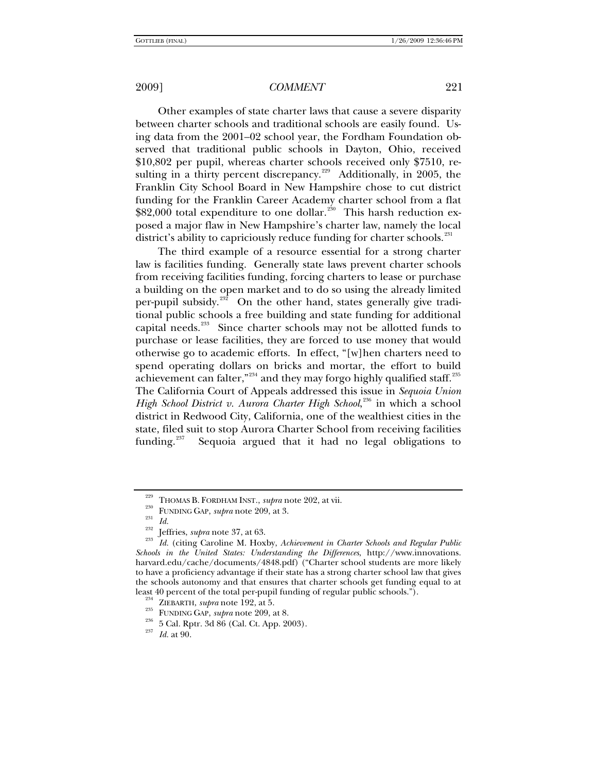Other examples of state charter laws that cause a severe disparity between charter schools and traditional schools are easily found. Using data from the 2001–02 school year, the Fordham Foundation observed that traditional public schools in Dayton, Ohio, received \$10,802 per pupil, whereas charter schools received only \$7510, resulting in a thirty percent discrepancy.<sup> $229$ </sup> Additionally, in 2005, the Franklin City School Board in New Hampshire chose to cut district funding for the Franklin Career Academy charter school from a flat \$82,000 total expenditure to one dollar.<sup>[230](#page-30-1)</sup> This harsh reduction exposed a major flaw in New Hampshire's charter law, namely the local district's ability to capriciously reduce funding for charter schools.<sup>[231](#page-30-2)</sup>

The third example of a resource essential for a strong charter law is facilities funding. Generally state laws prevent charter schools from receiving facilities funding, forcing charters to lease or purchase a building on the open market and to do so using the already limited per-pupil subsidy.<sup>[232](#page-30-3)</sup> On the other hand, states generally give traditional public schools a free building and state funding for additional capital needs.<sup>[233](#page-30-4)</sup> Since charter schools may not be allotted funds to purchase or lease facilities, they are forced to use money that would otherwise go to academic efforts. In effect, "[w]hen charters need to spend operating dollars on bricks and mortar, the effort to build achievement can falter,"<sup>[234](#page-30-5)</sup> and they may forgo highly qualified staff.<sup>[235](#page-30-6)</sup> The California Court of Appeals addressed this issue in *Sequoia Union*  High School District v. Aurora Charter High School,<sup>[236](#page-30-7)</sup> in which a school district in Redwood City, California, one of the wealthiest cities in the state, filed suit to stop Aurora Charter School from receiving facilities funding.<sup>[237](#page-30-8)</sup> Sequoia argued that it had no legal obligations to

<span id="page-30-4"></span><span id="page-30-3"></span><span id="page-30-2"></span><span id="page-30-1"></span><span id="page-30-0"></span>THOMAS B. FORDHAM INST., *supra* note 202, at vii.<br>
<sup>230</sup> FUNDING GAP, *supra* note 209, at 3.<br> *Id.*<br>
<sup>232</sup> Jeffries, *supra* note 37, at 63.<br> *Id.* (citing Caroline M. Hoxby, *Achievement in Charter Schools and Regular Schools in the United States: Understanding the Differences*, http://www.innovations. harvard.edu/cache/documents/4848.pdf) ("Charter school students are more likely to have a proficiency advantage if their state has a strong charter school law that gives the schools autonomy and that ensures that charter schools get funding equal to at least 40 percent of the total per-pupil funding of regular public schools.").

<span id="page-30-7"></span><span id="page-30-6"></span><span id="page-30-5"></span><sup>&</sup>lt;sup>234</sup> ZIEBARTH, *supra* note 192, at 5.<br><sup>235</sup> FUNDING GAP, *supra* note 209, at 8.<br><sup>236</sup> 5 Cal. Rptr. 3d 86 (Cal. Ct. App. 2003).<br>*Id.* at 90.

<span id="page-30-8"></span>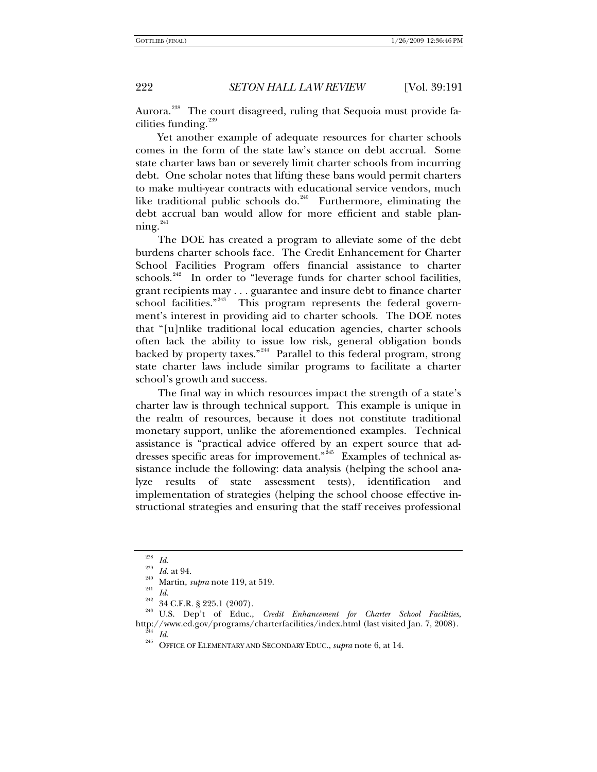Aurora.<sup>[238](#page-31-0)</sup> The court disagreed, ruling that Sequoia must provide facilities funding. $239$ 

Yet another example of adequate resources for charter schools comes in the form of the state law's stance on debt accrual. Some state charter laws ban or severely limit charter schools from incurring debt. One scholar notes that lifting these bans would permit charters to make multi-year contracts with educational service vendors, much like traditional public schools do.<sup>[240](#page-31-2)</sup> Furthermore, eliminating the debt accrual ban would allow for more efficient and stable planning. $^{241}$  $^{241}$  $^{241}$ 

The DOE has created a program to alleviate some of the debt burdens charter schools face. The Credit Enhancement for Charter School Facilities Program offers financial assistance to charter schools.<sup>[242](#page-31-4)</sup> In order to "leverage funds for charter school facilities, grant recipients may . . . guarantee and insure debt to finance charter school facilities."<sup>[243](#page-31-5)'</sup> This program represents the federal government's interest in providing aid to charter schools. The DOE notes that "[u]nlike traditional local education agencies, charter schools often lack the ability to issue low risk, general obligation bonds backed by property taxes."<sup>[244](#page-31-6)</sup> Parallel to this federal program, strong state charter laws include similar programs to facilitate a charter school's growth and success.

The final way in which resources impact the strength of a state's charter law is through technical support. This example is unique in the realm of resources, because it does not constitute traditional monetary support, unlike the aforementioned examples. Technical assistance is "practical advice offered by an expert source that ad-dresses specific areas for improvement."<sup>[245](#page-31-7)</sup> Examples of technical assistance include the following: data analysis (helping the school analyze results of state assessment tests), identification and implementation of strategies (helping the school choose effective instructional strategies and ensuring that the staff receives professional

<span id="page-31-5"></span>

<span id="page-31-4"></span><span id="page-31-3"></span><span id="page-31-2"></span><span id="page-31-1"></span><span id="page-31-0"></span><sup>&</sup>lt;sup>238</sup> Id.<br><sup>240</sup> Id. at 94.<br><sup>242</sup> Martin, *supra* note 119, at 519.<br><sup>242</sup> 34 C.F.R. § 225.1 (2007).<br><sup>243</sup> U.S. Dep't of Educ., *Credit Enhancement for Charter School Facilities*. http://www.ed.gov/programs/charterfacilities/index.html (last visited Jan. 7, 2008). 244 *Id.* 245 OFFICE OF ELEMENTARY AND SECONDARY EDUC., *supra* note 6, at 14.

<span id="page-31-7"></span><span id="page-31-6"></span>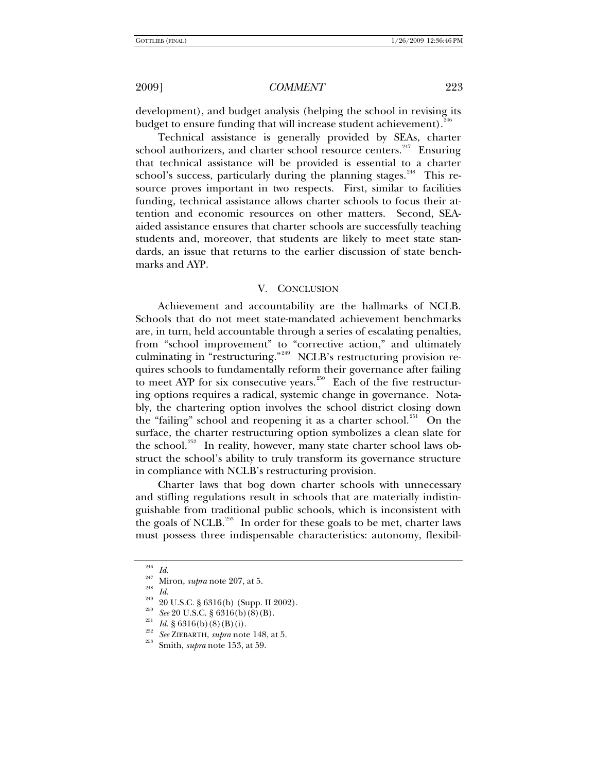development), and budget analysis (helping the school in revising its budget to ensure funding that will increase student achievement).<sup>[246](#page-32-0)</sup>

Technical assistance is generally provided by SEAs, charter school authorizers, and charter school resource centers. $247$  Ensuring that technical assistance will be provided is essential to a charter school's success, particularly during the planning stages.<sup>[248](#page-32-2)</sup> This resource proves important in two respects. First, similar to facilities funding, technical assistance allows charter schools to focus their attention and economic resources on other matters. Second, SEAaided assistance ensures that charter schools are successfully teaching students and, moreover, that students are likely to meet state standards, an issue that returns to the earlier discussion of state benchmarks and AYP.

### V. CONCLUSION

Achievement and accountability are the hallmarks of NCLB. Schools that do not meet state-mandated achievement benchmarks are, in turn, held accountable through a series of escalating penalties, from "school improvement" to "corrective action," and ultimately culminating in "restructuring."<sup>[249](#page-32-3)</sup> NCLB's restructuring provision requires schools to fundamentally reform their governance after failing to meet AYP for six consecutive years.<sup>[250](#page-32-4)</sup> Each of the five restructuring options requires a radical, systemic change in governance. Notably, the chartering option involves the school district closing down the "failing" school and reopening it as a charter school.<sup>[251](#page-32-5)</sup> On the surface, the charter restructuring option symbolizes a clean slate for the school.<sup>[252](#page-32-6)</sup> In reality, however, many state charter school laws obstruct the school's ability to truly transform its governance structure in compliance with NCLB's restructuring provision.

Charter laws that bog down charter schools with unnecessary and stifling regulations result in schools that are materially indistinguishable from traditional public schools, which is inconsistent with the goals of NCLB.<sup>[253](#page-32-7)</sup> In order for these goals to be met, charter laws must possess three indispensable characteristics: autonomy, flexibil-

<span id="page-32-1"></span><span id="page-32-0"></span>

<span id="page-32-3"></span><span id="page-32-2"></span>

<sup>&</sup>lt;sup>246</sup> *Id.*<br>
<sup>247</sup> Miron, *supra* note 207, at 5.<br>
<sup>248</sup> *Id.*<br>
20 U.S.C. § 6316(b) (Supp. II 2002).<br>
<sup>250</sup> *See* 20 U.S.C. § 6316(b) (8) (B).<br> *Id.* § 6316(b) (8) (B) (i).<br> *See* ZIEBARTH, *supra* note 148, at 5.<br>
<sup>253</sup>

<span id="page-32-6"></span><span id="page-32-5"></span><span id="page-32-4"></span>

<span id="page-32-7"></span>